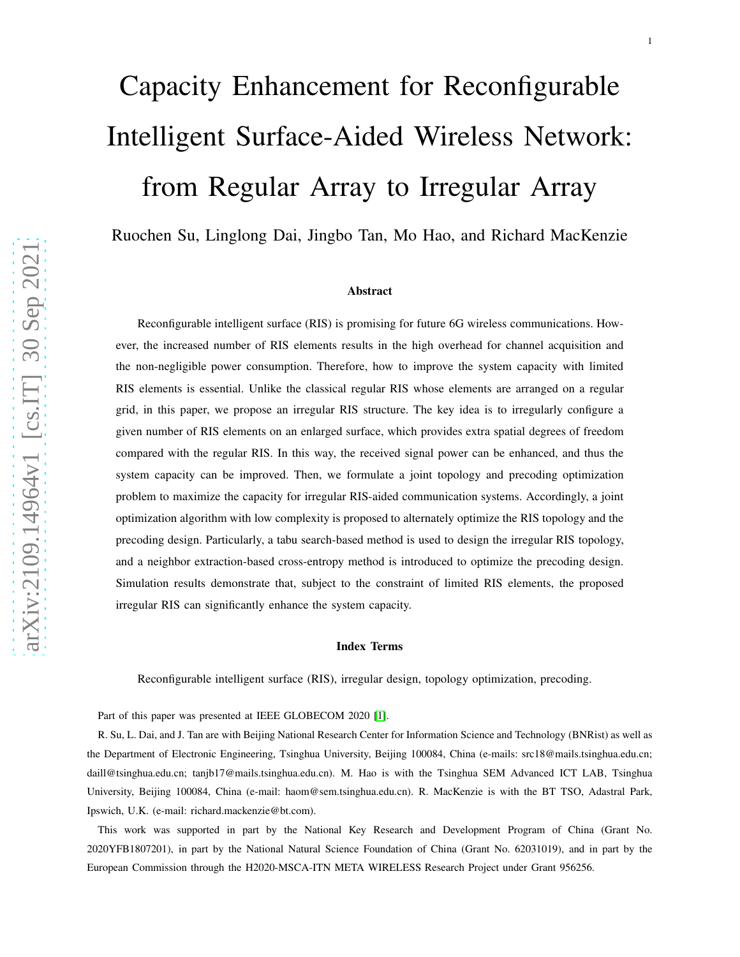# Capacity Enhancement for Reconfigurable Intelligent Surface-Aided Wireless Network: from Regular Array to Irregular Array

Ruochen Su, Linglong Dai, Jingbo Tan, Mo Hao, and Richard MacKenzie

#### Abstract

Reconfigurable intelligent surface (RIS) is promising for future 6G wireless communications. However, the increased number of RIS elements results in the high overhead for channel acquisition and the non-negligible power consumption. Therefore, how to improve the system capacity with limited RIS elements is essential. Unlike the classical regular RIS whose elements are arranged on a regular grid, in this paper, we propose an irregular RIS structure. The key idea is to irregularly configure a given number of RIS elements on an enlarged surface, which provides extra spatial degrees of freedom compared with the regular RIS. In this way, the received signal power can be enhanced, and thus the system capacity can be improved. Then, we formulate a joint topology and precoding optimization problem to maximize the capacity for irregular RIS-aided communication systems. Accordingly, a joint optimization algorithm with low complexity is proposed to alternately optimize the RIS topology and the precoding design. Particularly, a tabu search-based method is used to design the irregular RIS topology, and a neighbor extraction-based cross-entropy method is introduced to optimize the precoding design. Simulation results demonstrate that, subject to the constraint of limited RIS elements, the proposed irregular RIS can significantly enhance the system capacity .

#### Index Terms

Reconfigurable intelligent surface (RIS), irregular design, topology optimization, precoding.

Part of this paper was presented at IEEE GLOBECOM 2020 [\[1\]](#page-21-0).

R. Su, L. Dai, and J. Tan are with Beijing National Research Center for Information Science and Technology (BNRist) as well as the Department of Electronic Engineering, Tsinghua University, Beijing 100084, China (e-mails: src18@mails.tsinghua.edu.cn; daill@tsinghua.edu.cn; tanjb17@mails.tsinghua.edu.cn). M. Hao is with the Tsinghua SEM Advanced ICT LAB, Tsinghua University, Beijing 100084, China (e-mail: haom@sem.tsinghua.edu.cn). R. MacKenzie is with the BT TSO, Adastral Park , Ipswich, U.K. (e-mail: richard.mackenzie@bt.com).

This work was supported in part by the National Key Research and Development Program of China (Grant No. 2020YFB1807201), in part by the National Natural Science Foundation of China (Grant No. 62031019), and in part by the European Commission through the H2020-MSCA-ITN META WIRELESS Research Project under Grant 956256.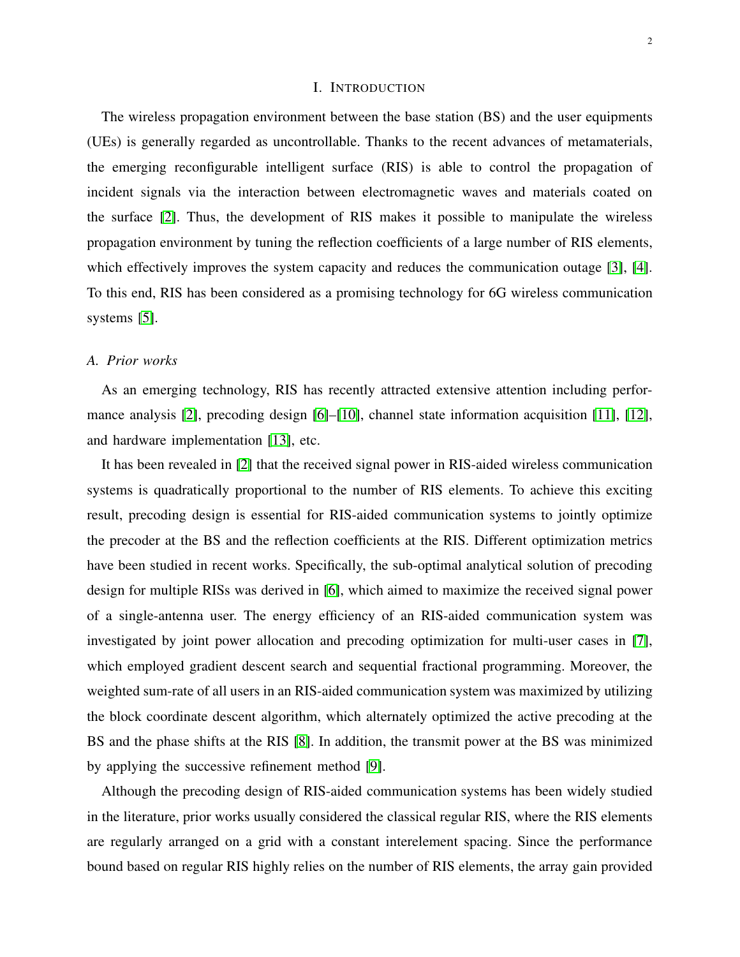#### I. INTRODUCTION

The wireless propagation environment between the base station (BS) and the user equipments (UEs) is generally regarded as uncontrollable. Thanks to the recent advances of metamaterials, the emerging reconfigurable intelligent surface (RIS) is able to control the propagation of incident signals via the interaction between electromagnetic waves and materials coated on the surface [\[2\]](#page-22-0). Thus, the development of RIS makes it possible to manipulate the wireless propagation environment by tuning the reflection coefficients of a large number of RIS elements, which effectively improves the system capacity and reduces the communication outage [\[3\]](#page-22-1), [\[4\]](#page-22-2). To this end, RIS has been considered as a promising technology for 6G wireless communication systems [\[5\]](#page-22-3).

#### *A. Prior works*

As an emerging technology, RIS has recently attracted extensive attention including performance analysis [\[2\]](#page-22-0), precoding design [\[6\]](#page-22-4)–[\[10\]](#page-22-5), channel state information acquisition [\[11\]](#page-22-6), [\[12\]](#page-22-7), and hardware implementation [\[13\]](#page-22-8), etc.

It has been revealed in [\[2\]](#page-22-0) that the received signal power in RIS-aided wireless communication systems is quadratically proportional to the number of RIS elements. To achieve this exciting result, precoding design is essential for RIS-aided communication systems to jointly optimize the precoder at the BS and the reflection coefficients at the RIS. Different optimization metrics have been studied in recent works. Specifically, the sub-optimal analytical solution of precoding design for multiple RISs was derived in [\[6\]](#page-22-4), which aimed to maximize the received signal power of a single-antenna user. The energy efficiency of an RIS-aided communication system was investigated by joint power allocation and precoding optimization for multi-user cases in [\[7\]](#page-22-9), which employed gradient descent search and sequential fractional programming. Moreover, the weighted sum-rate of all users in an RIS-aided communication system was maximized by utilizing the block coordinate descent algorithm, which alternately optimized the active precoding at the BS and the phase shifts at the RIS [\[8\]](#page-22-10). In addition, the transmit power at the BS was minimized by applying the successive refinement method [\[9\]](#page-22-11).

Although the precoding design of RIS-aided communication systems has been widely studied in the literature, prior works usually considered the classical regular RIS, where the RIS elements are regularly arranged on a grid with a constant interelement spacing. Since the performance bound based on regular RIS highly relies on the number of RIS elements, the array gain provided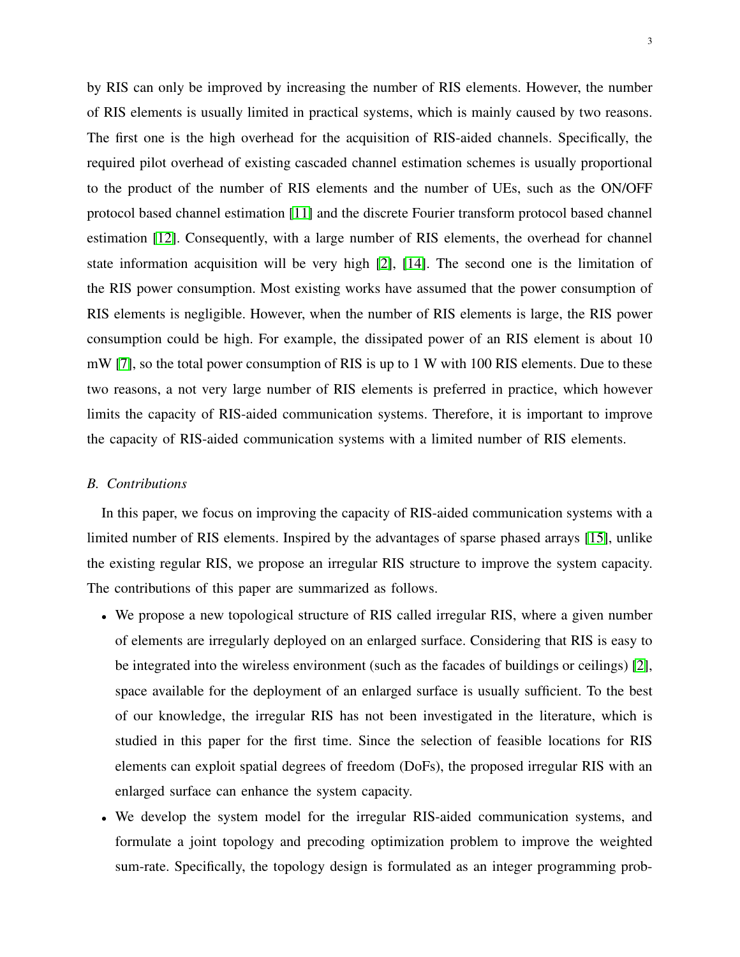by RIS can only be improved by increasing the number of RIS elements. However, the number of RIS elements is usually limited in practical systems, which is mainly caused by two reasons. The first one is the high overhead for the acquisition of RIS-aided channels. Specifically, the required pilot overhead of existing cascaded channel estimation schemes is usually proportional to the product of the number of RIS elements and the number of UEs, such as the ON/OFF protocol based channel estimation [\[11\]](#page-22-6) and the discrete Fourier transform protocol based channel estimation [\[12\]](#page-22-7). Consequently, with a large number of RIS elements, the overhead for channel state information acquisition will be very high [\[2\]](#page-22-0), [\[14\]](#page-22-12). The second one is the limitation of the RIS power consumption. Most existing works have assumed that the power consumption of RIS elements is negligible. However, when the number of RIS elements is large, the RIS power consumption could be high. For example, the dissipated power of an RIS element is about 10 mW [\[7\]](#page-22-9), so the total power consumption of RIS is up to 1 W with 100 RIS elements. Due to these two reasons, a not very large number of RIS elements is preferred in practice, which however limits the capacity of RIS-aided communication systems. Therefore, it is important to improve the capacity of RIS-aided communication systems with a limited number of RIS elements.

#### *B. Contributions*

In this paper, we focus on improving the capacity of RIS-aided communication systems with a limited number of RIS elements. Inspired by the advantages of sparse phased arrays [\[15\]](#page-22-13), unlike the existing regular RIS, we propose an irregular RIS structure to improve the system capacity. The contributions of this paper are summarized as follows.

- We propose a new topological structure of RIS called irregular RIS, where a given number of elements are irregularly deployed on an enlarged surface. Considering that RIS is easy to be integrated into the wireless environment (such as the facades of buildings or ceilings) [\[2\]](#page-22-0), space available for the deployment of an enlarged surface is usually sufficient. To the best of our knowledge, the irregular RIS has not been investigated in the literature, which is studied in this paper for the first time. Since the selection of feasible locations for RIS elements can exploit spatial degrees of freedom (DoFs), the proposed irregular RIS with an enlarged surface can enhance the system capacity.
- We develop the system model for the irregular RIS-aided communication systems, and formulate a joint topology and precoding optimization problem to improve the weighted sum-rate. Specifically, the topology design is formulated as an integer programming prob-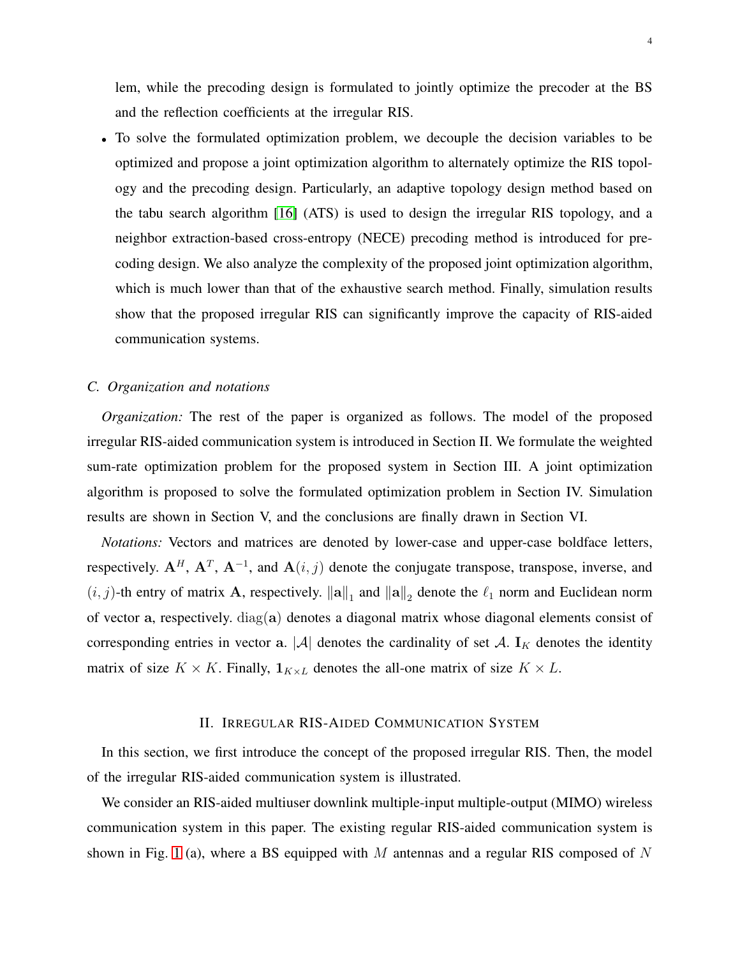lem, while the precoding design is formulated to jointly optimize the precoder at the BS and the reflection coefficients at the irregular RIS.

• To solve the formulated optimization problem, we decouple the decision variables to be optimized and propose a joint optimization algorithm to alternately optimize the RIS topology and the precoding design. Particularly, an adaptive topology design method based on the tabu search algorithm [\[16\]](#page-22-14) (ATS) is used to design the irregular RIS topology, and a neighbor extraction-based cross-entropy (NECE) precoding method is introduced for precoding design. We also analyze the complexity of the proposed joint optimization algorithm, which is much lower than that of the exhaustive search method. Finally, simulation results show that the proposed irregular RIS can significantly improve the capacity of RIS-aided communication systems.

## *C. Organization and notations*

*Organization:* The rest of the paper is organized as follows. The model of the proposed irregular RIS-aided communication system is introduced in Section II. We formulate the weighted sum-rate optimization problem for the proposed system in Section III. A joint optimization algorithm is proposed to solve the formulated optimization problem in Section IV. Simulation results are shown in Section V, and the conclusions are finally drawn in Section VI.

*Notations:* Vectors and matrices are denoted by lower-case and upper-case boldface letters, respectively.  $A^H$ ,  $A^T$ ,  $A^{-1}$ , and  $A(i, j)$  denote the conjugate transpose, transpose, inverse, and  $(i, j)$ -th entry of matrix A, respectively.  $\|\mathbf{a}\|_1$  and  $\|\mathbf{a}\|_2$  denote the  $\ell_1$  norm and Euclidean norm of vector a, respectively. diag(a) denotes a diagonal matrix whose diagonal elements consist of corresponding entries in vector a.  $|\mathcal{A}|$  denotes the cardinality of set  $\mathcal{A}$ .  $I_K$  denotes the identity matrix of size  $K \times K$ . Finally,  $\mathbf{1}_{K \times L}$  denotes the all-one matrix of size  $K \times L$ .

#### II. IRREGULAR RIS-AIDED COMMUNICATION SYSTEM

In this section, we first introduce the concept of the proposed irregular RIS. Then, the model of the irregular RIS-aided communication system is illustrated.

We consider an RIS-aided multiuser downlink multiple-input multiple-output (MIMO) wireless communication system in this paper. The existing regular RIS-aided communication system is shown in Fig. [1](#page-4-0) (a), where a BS equipped with  $M$  antennas and a regular RIS composed of  $N$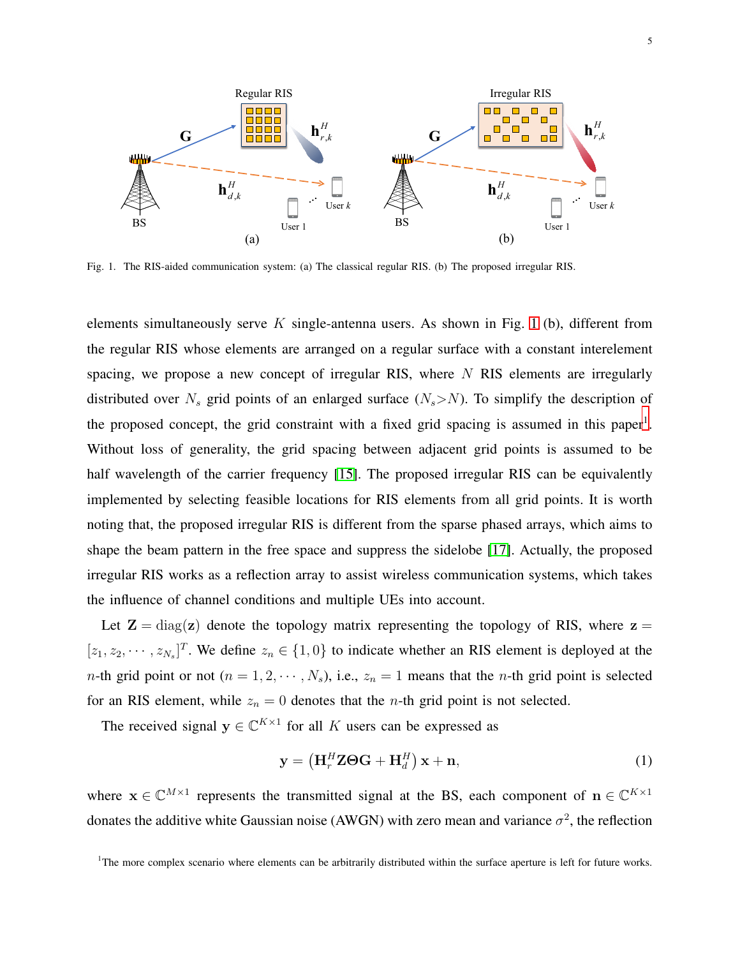

<span id="page-4-0"></span>Fig. 1. The RIS-aided communication system: (a) The classical regular RIS. (b) The proposed irregular RIS.

elements simultaneously serve  $K$  single-antenna users. As shown in Fig. [1](#page-4-0) (b), different from the regular RIS whose elements are arranged on a regular surface with a constant interelement spacing, we propose a new concept of irregular RIS, where  $N$  RIS elements are irregularly distributed over  $N_s$  grid points of an enlarged surface  $(N_s > N)$ . To simplify the description of the proposed concept, the grid constraint with a fixed grid spacing is assumed in this paper<sup>[1](#page-4-1)</sup>. Without loss of generality, the grid spacing between adjacent grid points is assumed to be half wavelength of the carrier frequency [\[15\]](#page-22-13). The proposed irregular RIS can be equivalently implemented by selecting feasible locations for RIS elements from all grid points. It is worth noting that, the proposed irregular RIS is different from the sparse phased arrays, which aims to shape the beam pattern in the free space and suppress the sidelobe [\[17\]](#page-22-15). Actually, the proposed irregular RIS works as a reflection array to assist wireless communication systems, which takes the influence of channel conditions and multiple UEs into account.

Let  $\mathbf{Z} = \text{diag}(\mathbf{z})$  denote the topology matrix representing the topology of RIS, where  $\mathbf{z} =$  $[z_1, z_2, \cdots, z_{N_s}]^T$ . We define  $z_n \in \{1, 0\}$  to indicate whether an RIS element is deployed at the *n*-th grid point or not  $(n = 1, 2, \dots, N_s)$ , i.e.,  $z_n = 1$  means that the *n*-th grid point is selected for an RIS element, while  $z_n = 0$  denotes that the *n*-th grid point is not selected.

The received signal  $y \in \mathbb{C}^{K \times 1}$  for all K users can be expressed as

<span id="page-4-2"></span>
$$
\mathbf{y} = \left(\mathbf{H}_r^H \mathbf{Z} \boldsymbol{\Theta} \mathbf{G} + \mathbf{H}_d^H\right) \mathbf{x} + \mathbf{n},\tag{1}
$$

where  $\mathbf{x} \in \mathbb{C}^{M \times 1}$  represents the transmitted signal at the BS, each component of  $\mathbf{n} \in \mathbb{C}^{K \times 1}$ donates the additive white Gaussian noise (AWGN) with zero mean and variance  $\sigma^2$ , the reflection

<span id="page-4-1"></span> ${}^{1}$ The more complex scenario where elements can be arbitrarily distributed within the surface aperture is left for future works.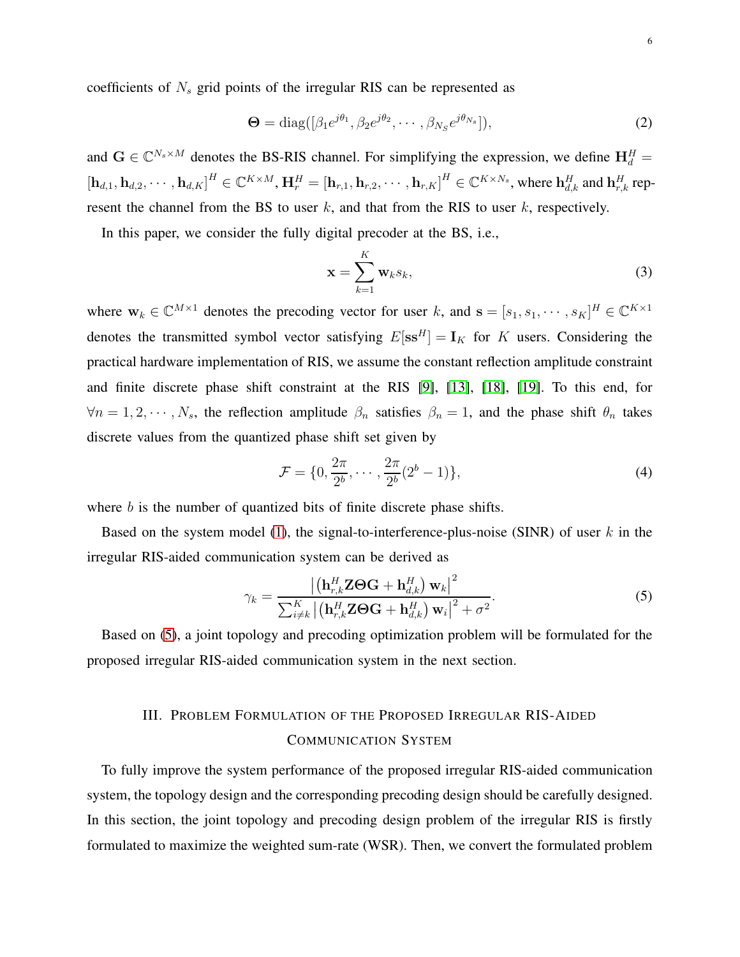coefficients of  $N_s$  grid points of the irregular RIS can be represented as

$$
\mathbf{\Theta} = \text{diag}([\beta_1 e^{j\theta_1}, \beta_2 e^{j\theta_2}, \cdots, \beta_{N_S} e^{j\theta_{N_S}}]),\tag{2}
$$

and  $G \in \mathbb{C}^{N_s \times M}$  denotes the BS-RIS channel. For simplifying the expression, we define  $H_d^H$  =  $\left[\mathbf{h}_{d,1}, \mathbf{h}_{d,2}, \cdots, \mathbf{h}_{d,K}\right]^H \in \mathbb{C}^{K \times M}, \mathbf{H}_r^H = \left[\mathbf{h}_{r,1}, \mathbf{h}_{r,2}, \cdots, \mathbf{h}_{r,K}\right]^H \in \mathbb{C}^{K \times N_s}$ , where  $\mathbf{h}_{d,k}^H$  and  $\mathbf{h}_{r,k}^H$  represent the channel from the BS to user  $k$ , and that from the RIS to user  $k$ , respectively.

In this paper, we consider the fully digital precoder at the BS, i.e.,

$$
\mathbf{x} = \sum_{k=1}^{K} \mathbf{w}_k s_k,
$$
 (3)

where  $\mathbf{w}_k \in \mathbb{C}^{M \times 1}$  denotes the precoding vector for user k, and  $\mathbf{s} = [s_1, s_1, \dots, s_K]^H \in \mathbb{C}^{K \times 1}$ denotes the transmitted symbol vector satisfying  $E[\mathbf{s}\mathbf{s}^H] = \mathbf{I}_K$  for K users. Considering the practical hardware implementation of RIS, we assume the constant reflection amplitude constraint and finite discrete phase shift constraint at the RIS [\[9\]](#page-22-11), [\[13\]](#page-22-8), [\[18\]](#page-22-16), [\[19\]](#page-22-17). To this end, for  $\forall n = 1, 2, \dots, N_s$ , the reflection amplitude  $\beta_n$  satisfies  $\beta_n = 1$ , and the phase shift  $\theta_n$  takes discrete values from the quantized phase shift set given by

<span id="page-5-1"></span>
$$
\mathcal{F} = \{0, \frac{2\pi}{2^b}, \cdots, \frac{2\pi}{2^b}(2^b - 1)\},\tag{4}
$$

where b is the number of quantized bits of finite discrete phase shifts.

Based on the system model [\(1\)](#page-4-2), the signal-to-interference-plus-noise (SINR) of user  $k$  in the irregular RIS-aided communication system can be derived as

<span id="page-5-0"></span>
$$
\gamma_k = \frac{\left| \left( \mathbf{h}_{r,k}^H \mathbf{Z} \boldsymbol{\Theta} \mathbf{G} + \mathbf{h}_{d,k}^H \right) \mathbf{w}_k \right|^2}{\sum_{i \neq k}^K \left| \left( \mathbf{h}_{r,k}^H \mathbf{Z} \boldsymbol{\Theta} \mathbf{G} + \mathbf{h}_{d,k}^H \right) \mathbf{w}_i \right|^2 + \sigma^2}.
$$
(5)

Based on [\(5\)](#page-5-0), a joint topology and precoding optimization problem will be formulated for the proposed irregular RIS-aided communication system in the next section.

# III. PROBLEM FORMULATION OF THE PROPOSED IRREGULAR RIS-AIDED COMMUNICATION SYSTEM

To fully improve the system performance of the proposed irregular RIS-aided communication system, the topology design and the corresponding precoding design should be carefully designed. In this section, the joint topology and precoding design problem of the irregular RIS is firstly formulated to maximize the weighted sum-rate (WSR). Then, we convert the formulated problem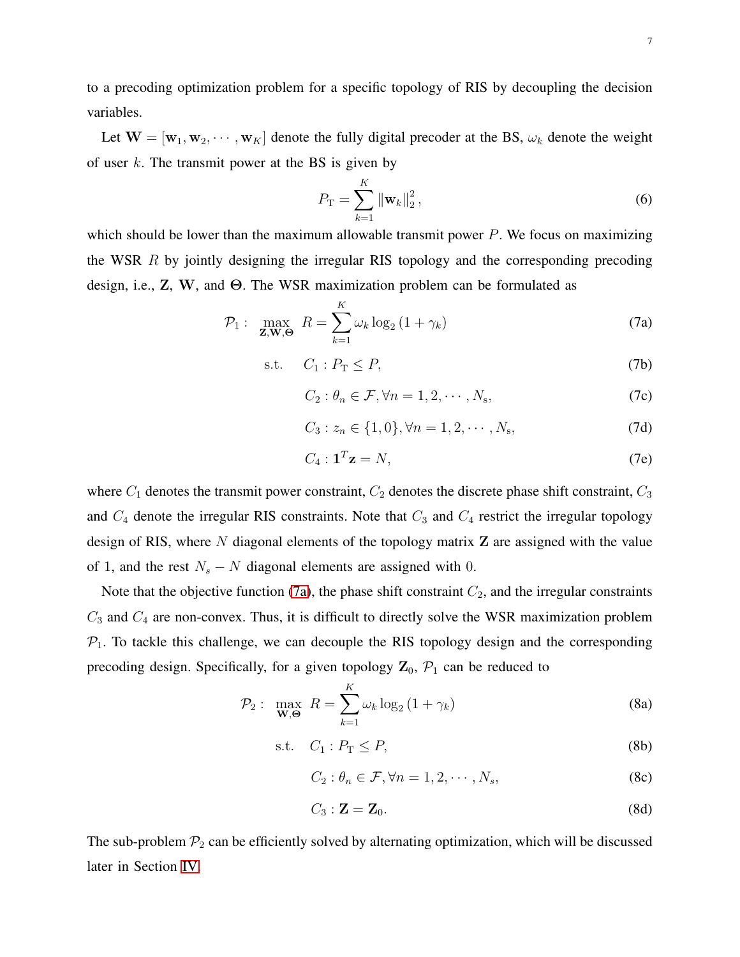to a precoding optimization problem for a specific topology of RIS by decoupling the decision variables.

Let  $W = [w_1, w_2, \dots, w_K]$  denote the fully digital precoder at the BS,  $\omega_k$  denote the weight of user  $k$ . The transmit power at the BS is given by

<span id="page-6-0"></span>
$$
P_{\rm T} = \sum_{k=1}^{K} \|\mathbf{w}_k\|_2^2, \tag{6}
$$

which should be lower than the maximum allowable transmit power  $P$ . We focus on maximizing the WSR R by jointly designing the irregular RIS topology and the corresponding precoding design, i.e., Z, W, and Θ. The WSR maximization problem can be formulated as

$$
\mathcal{P}_1: \max_{\mathbf{Z}, \mathbf{W}, \Theta} R = \sum_{k=1}^{K} \omega_k \log_2 \left( 1 + \gamma_k \right) \tag{7a}
$$

$$
\text{s.t.} \quad C_1: P_\text{T} \le P,\tag{7b}
$$

$$
C_2: \theta_n \in \mathcal{F}, \forall n = 1, 2, \cdots, N_s,
$$
 (7c)

<span id="page-6-1"></span>
$$
C_3: z_n \in \{1, 0\}, \forall n = 1, 2, \cdots, N_s,
$$
 (7d)

$$
C_4: \mathbf{1}^T \mathbf{z} = N,\tag{7e}
$$

where  $C_1$  denotes the transmit power constraint,  $C_2$  denotes the discrete phase shift constraint,  $C_3$ and  $C_4$  denote the irregular RIS constraints. Note that  $C_3$  and  $C_4$  restrict the irregular topology design of RIS, where  $N$  diagonal elements of the topology matrix  $Z$  are assigned with the value of 1, and the rest  $N_s - N$  diagonal elements are assigned with 0.

Note that the objective function [\(7a\)](#page-6-0), the phase shift constraint  $C_2$ , and the irregular constraints  $C_3$  and  $C_4$  are non-convex. Thus, it is difficult to directly solve the WSR maximization problem  $P_1$ . To tackle this challenge, we can decouple the RIS topology design and the corresponding precoding design. Specifically, for a given topology  $\mathbf{Z}_0$ ,  $\mathcal{P}_1$  can be reduced to

$$
\mathcal{P}_2: \max_{\mathbf{W}, \Theta} R = \sum_{k=1}^{K} \omega_k \log_2 \left( 1 + \gamma_k \right) \tag{8a}
$$

$$
\text{s.t.} \quad C_1: P_\text{T} \le P,\tag{8b}
$$

$$
C_2: \theta_n \in \mathcal{F}, \forall n = 1, 2, \cdots, N_s,
$$
 (8c)

$$
C_3: \mathbf{Z} = \mathbf{Z}_0. \tag{8d}
$$

The sub-problem  $\mathcal{P}_2$  can be efficiently solved by alternating optimization, which will be discussed later in Section [IV.](#page-7-0)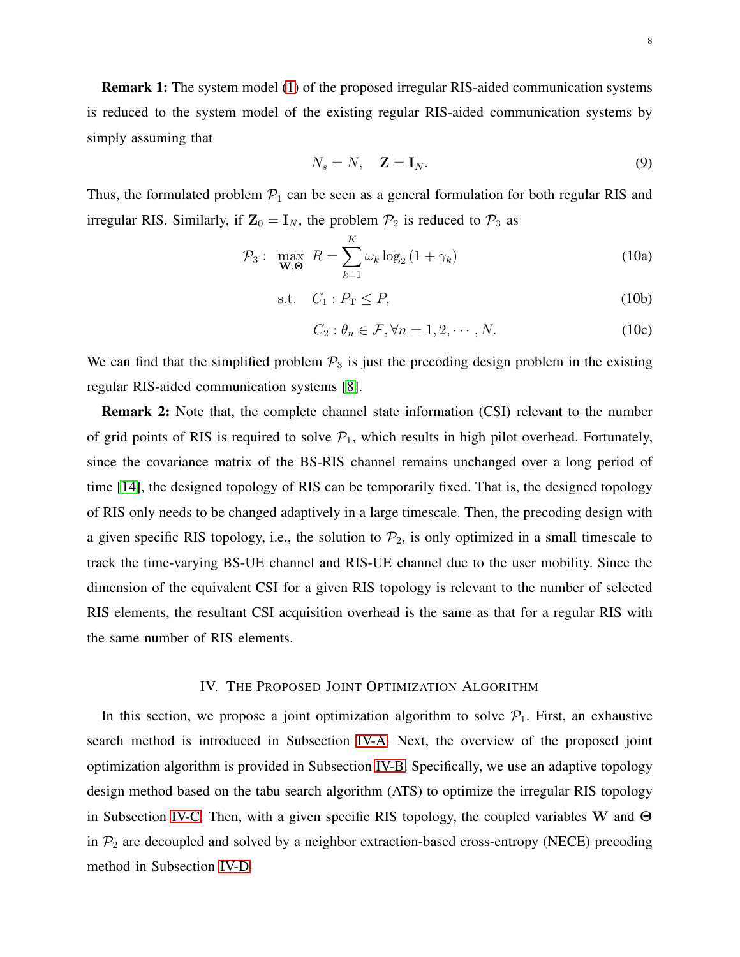Remark 1: The system model [\(1\)](#page-4-2) of the proposed irregular RIS-aided communication systems is reduced to the system model of the existing regular RIS-aided communication systems by simply assuming that

$$
N_s = N, \quad \mathbf{Z} = \mathbf{I}_N. \tag{9}
$$

Thus, the formulated problem  $P_1$  can be seen as a general formulation for both regular RIS and irregular RIS. Similarly, if  $\mathbf{Z}_0 = \mathbf{I}_N$ , the problem  $\mathcal{P}_2$  is reduced to  $\mathcal{P}_3$  as

$$
\mathcal{P}_3: \max_{\mathbf{W}, \Theta} R = \sum_{k=1}^K \omega_k \log_2 \left( 1 + \gamma_k \right) \tag{10a}
$$

$$
\text{s.t.} \quad C_1: P_\text{T} \le P,\tag{10b}
$$

$$
C_2: \theta_n \in \mathcal{F}, \forall n = 1, 2, \cdots, N. \tag{10c}
$$

We can find that the simplified problem  $P_3$  is just the precoding design problem in the existing regular RIS-aided communication systems [\[8\]](#page-22-10).

Remark 2: Note that, the complete channel state information (CSI) relevant to the number of grid points of RIS is required to solve  $P_1$ , which results in high pilot overhead. Fortunately, since the covariance matrix of the BS-RIS channel remains unchanged over a long period of time [\[14\]](#page-22-12), the designed topology of RIS can be temporarily fixed. That is, the designed topology of RIS only needs to be changed adaptively in a large timescale. Then, the precoding design with a given specific RIS topology, i.e., the solution to  $\mathcal{P}_2$ , is only optimized in a small timescale to track the time-varying BS-UE channel and RIS-UE channel due to the user mobility. Since the dimension of the equivalent CSI for a given RIS topology is relevant to the number of selected RIS elements, the resultant CSI acquisition overhead is the same as that for a regular RIS with the same number of RIS elements.

#### IV. THE PROPOSED JOINT OPTIMIZATION ALGORITHM

<span id="page-7-0"></span>In this section, we propose a joint optimization algorithm to solve  $P_1$ . First, an exhaustive search method is introduced in Subsection [IV-A.](#page-8-0) Next, the overview of the proposed joint optimization algorithm is provided in Subsection [IV-B.](#page-8-1) Specifically, we use an adaptive topology design method based on the tabu search algorithm (ATS) to optimize the irregular RIS topology in Subsection [IV-C.](#page-9-0) Then, with a given specific RIS topology, the coupled variables W and Θ in  $\mathcal{P}_2$  are decoupled and solved by a neighbor extraction-based cross-entropy (NECE) precoding method in Subsection [IV-D.](#page-11-0)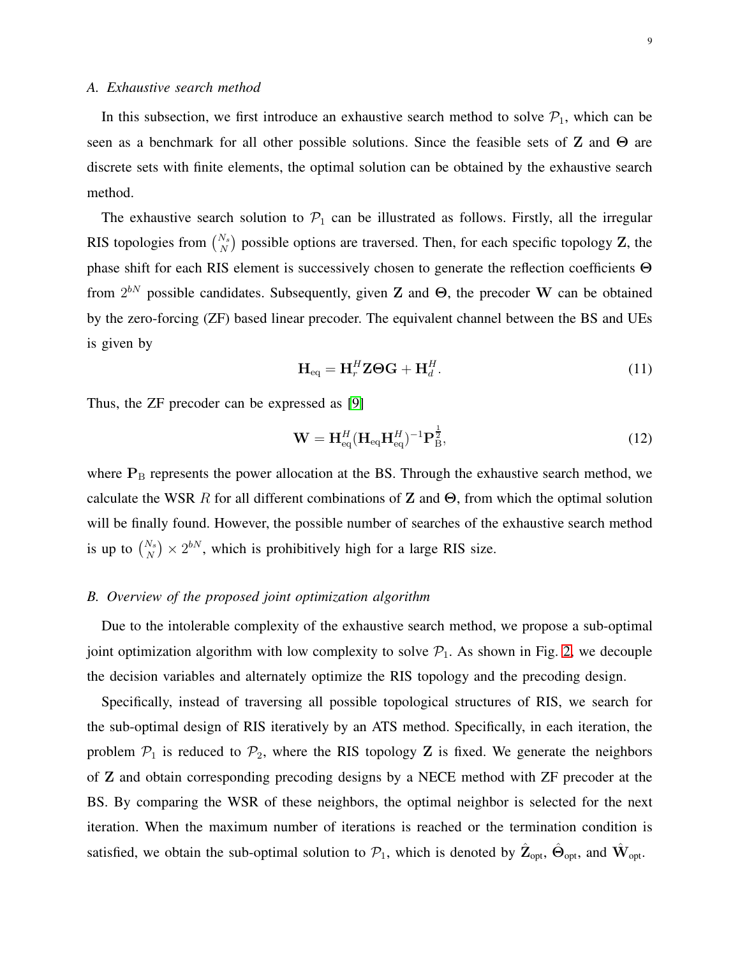<span id="page-8-0"></span>In this subsection, we first introduce an exhaustive search method to solve  $P_1$ , which can be seen as a benchmark for all other possible solutions. Since the feasible sets of Z and Θ are discrete sets with finite elements, the optimal solution can be obtained by the exhaustive search method.

The exhaustive search solution to  $P_1$  can be illustrated as follows. Firstly, all the irregular RIS topologies from  $\binom{N_s}{N}$  possible options are traversed. Then, for each specific topology Z, the phase shift for each RIS element is successively chosen to generate the reflection coefficients Θ from  $2^{bN}$  possible candidates. Subsequently, given Z and  $\Theta$ , the precoder W can be obtained by the zero-forcing (ZF) based linear precoder. The equivalent channel between the BS and UEs is given by

<span id="page-8-2"></span>
$$
\mathbf{H}_{\text{eq}} = \mathbf{H}_r^H \mathbf{Z} \boldsymbol{\Theta} \mathbf{G} + \mathbf{H}_d^H.
$$
 (11)

Thus, the ZF precoder can be expressed as [\[9\]](#page-22-11)

<span id="page-8-3"></span>
$$
\mathbf{W} = \mathbf{H}_{\text{eq}}^H (\mathbf{H}_{\text{eq}} \mathbf{H}_{\text{eq}}^H)^{-1} \mathbf{P}_{\text{B}}^{\frac{1}{2}},
$$
(12)

where  $P_B$  represents the power allocation at the BS. Through the exhaustive search method, we calculate the WSR R for all different combinations of Z and  $\Theta$ , from which the optimal solution will be finally found. However, the possible number of searches of the exhaustive search method is up to  $\binom{N_s}{N} \times 2^{bN}$ , which is prohibitively high for a large RIS size.

#### <span id="page-8-1"></span>*B. Overview of the proposed joint optimization algorithm*

Due to the intolerable complexity of the exhaustive search method, we propose a sub-optimal joint optimization algorithm with low complexity to solve  $\mathcal{P}_1$ . As shown in Fig. [2,](#page-9-1) we decouple the decision variables and alternately optimize the RIS topology and the precoding design.

Specifically, instead of traversing all possible topological structures of RIS, we search for the sub-optimal design of RIS iteratively by an ATS method. Specifically, in each iteration, the problem  $P_1$  is reduced to  $P_2$ , where the RIS topology Z is fixed. We generate the neighbors of Z and obtain corresponding precoding designs by a NECE method with ZF precoder at the BS. By comparing the WSR of these neighbors, the optimal neighbor is selected for the next iteration. When the maximum number of iterations is reached or the termination condition is satisfied, we obtain the sub-optimal solution to  $\mathcal{P}_1$ , which is denoted by  $\hat{\mathbf{Z}}_{opt}$ ,  $\hat{\mathbf{\Theta}}_{opt}$ , and  $\hat{\mathbf{W}}_{opt}$ .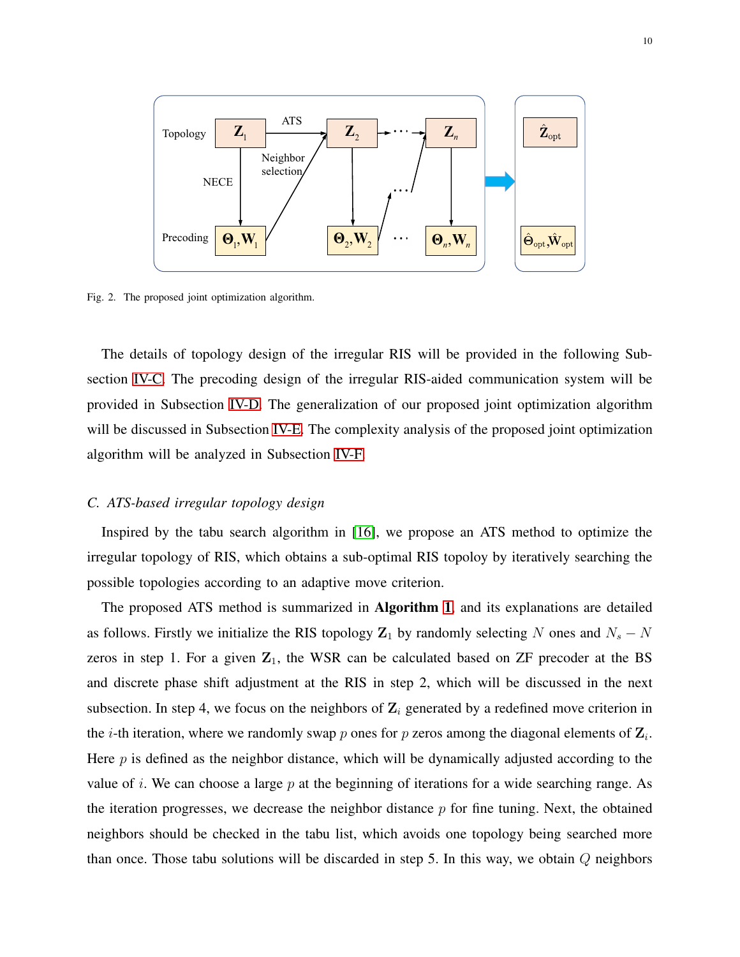

<span id="page-9-1"></span>Fig. 2. The proposed joint optimization algorithm.

The details of topology design of the irregular RIS will be provided in the following Subsection [IV-C.](#page-9-0) The precoding design of the irregular RIS-aided communication system will be provided in Subsection [IV-D.](#page-11-0) The generalization of our proposed joint optimization algorithm will be discussed in Subsection [IV-E.](#page-13-0) The complexity analysis of the proposed joint optimization algorithm will be analyzed in Subsection [IV-F.](#page-14-0)

#### <span id="page-9-0"></span>*C. ATS-based irregular topology design*

Inspired by the tabu search algorithm in [\[16\]](#page-22-14), we propose an ATS method to optimize the irregular topology of RIS, which obtains a sub-optimal RIS topoloy by iteratively searching the possible topologies according to an adaptive move criterion.

The proposed ATS method is summarized in Algorithm [1](#page-10-0), and its explanations are detailed as follows. Firstly we initialize the RIS topology  $\mathbb{Z}_1$  by randomly selecting N ones and  $N_s - N$ zeros in step 1. For a given  $\mathbb{Z}_1$ , the WSR can be calculated based on ZF precoder at the BS and discrete phase shift adjustment at the RIS in step 2, which will be discussed in the next subsection. In step 4, we focus on the neighbors of  $\mathbf{Z}_i$  generated by a redefined move criterion in the *i*-th iteration, where we randomly swap *p* ones for *p* zeros among the diagonal elements of  $\mathbf{Z}_i$ . Here  $p$  is defined as the neighbor distance, which will be dynamically adjusted according to the value of i. We can choose a large  $p$  at the beginning of iterations for a wide searching range. As the iteration progresses, we decrease the neighbor distance  $p$  for fine tuning. Next, the obtained neighbors should be checked in the tabu list, which avoids one topology being searched more than once. Those tabu solutions will be discarded in step 5. In this way, we obtain  $Q$  neighbors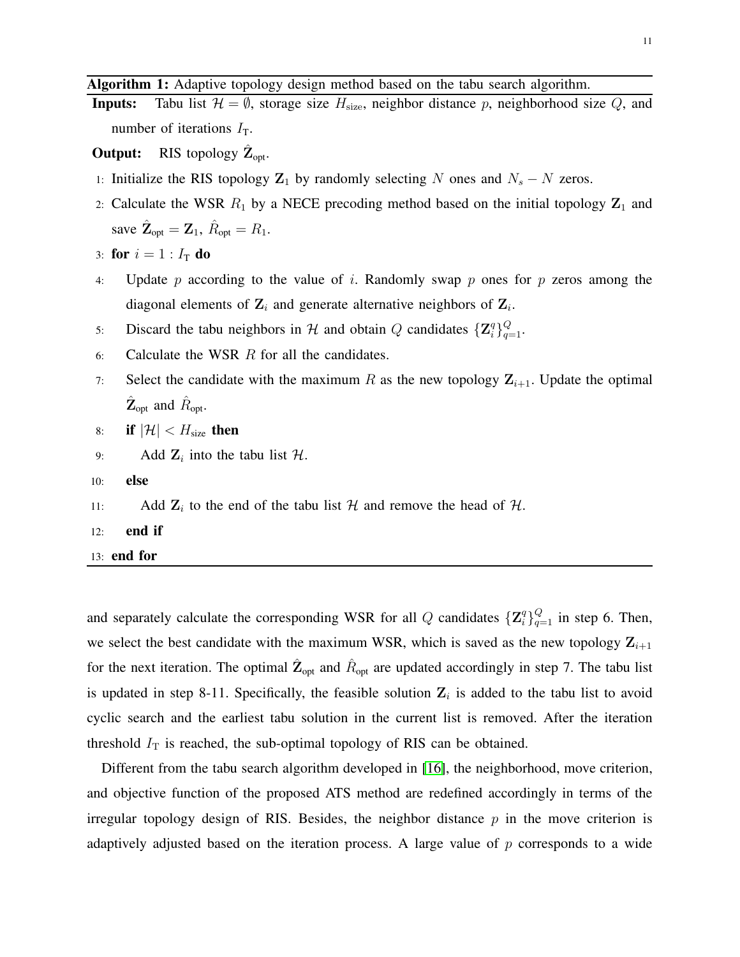<span id="page-10-0"></span>Algorithm 1: Adaptive topology design method based on the tabu search algorithm.

**Inputs:** Tabu list  $\mathcal{H} = \emptyset$ , storage size  $H_{size}$ , neighbor distance p, neighborhood size Q, and number of iterations  $I_T$ .

**Output:** RIS topology  $\hat{\mathbf{Z}}_{opt}$ .

- 1: Initialize the RIS topology  $\mathbb{Z}_1$  by randomly selecting N ones and  $N_s N$  zeros.
- 2: Calculate the WSR  $R_1$  by a NECE precoding method based on the initial topology  $\mathbb{Z}_1$  and save  $\hat{\mathbf{Z}}_{opt} = \mathbf{Z}_1$ ,  $\hat{R}_{opt} = R_1$ .

```
3: for i = 1 : I_T do
```
- 4: Update p according to the value of i. Randomly swap p ones for p zeros among the diagonal elements of  $\mathbf{Z}_i$  and generate alternative neighbors of  $\mathbf{Z}_i$ .
- 5: Discard the tabu neighbors in H and obtain Q candidates  $\{Z_i^q\}$  ${}^{q}_{i}$  } ${}^{Q}_{q=1}$ .
- 6: Calculate the WSR  $R$  for all the candidates.
- 7: Select the candidate with the maximum R as the new topology  $\mathbf{Z}_{i+1}$ . Update the optimal  $\hat{\mathbf{Z}}_{\text{opt}}$  and  $\hat{R}_{\text{opt}}$ .
- 8: if  $|\mathcal{H}| < H_{\text{size}}$  then
- 9: Add  $\mathbf{Z}_i$  into the tabu list  $\mathcal{H}$ .
- 10: else
- 11: Add  $\mathbf{Z}_i$  to the end of the tabu list  $\mathcal{H}$  and remove the head of  $\mathcal{H}$ .
- 12: end if
- 13: end for

and separately calculate the corresponding WSR for all Q candidates  $\{Z_i^q\}$  ${}_{i}^{q}$  $\rbrace_{q=1}^{Q}$  in step 6. Then, we select the best candidate with the maximum WSR, which is saved as the new topology  $\mathbf{Z}_{i+1}$ for the next iteration. The optimal  $\hat{Z}_{opt}$  and  $\hat{R}_{opt}$  are updated accordingly in step 7. The tabu list is updated in step 8-11. Specifically, the feasible solution  $\mathbf{Z}_i$  is added to the tabu list to avoid cyclic search and the earliest tabu solution in the current list is removed. After the iteration threshold  $I_T$  is reached, the sub-optimal topology of RIS can be obtained.

Different from the tabu search algorithm developed in [\[16\]](#page-22-14), the neighborhood, move criterion, and objective function of the proposed ATS method are redefined accordingly in terms of the irregular topology design of RIS. Besides, the neighbor distance  $p$  in the move criterion is adaptively adjusted based on the iteration process. A large value of  $p$  corresponds to a wide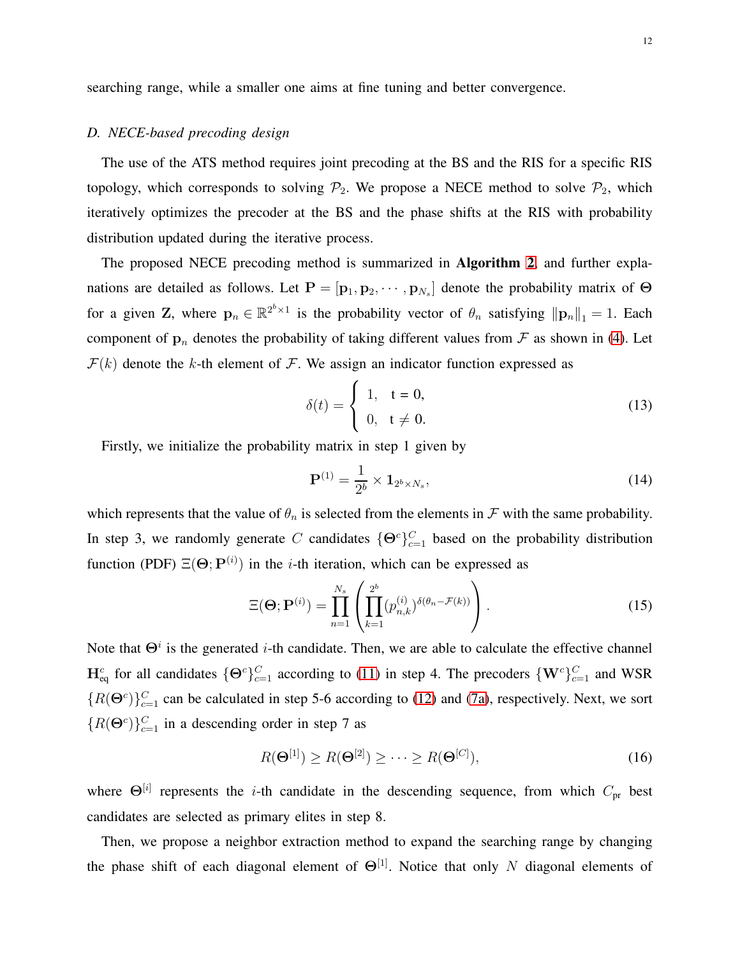<span id="page-11-0"></span>searching range, while a smaller one aims at fine tuning and better convergence.

#### *D. NECE-based precoding design*

The use of the ATS method requires joint precoding at the BS and the RIS for a specific RIS topology, which corresponds to solving  $\mathcal{P}_2$ . We propose a NECE method to solve  $\mathcal{P}_2$ , which iteratively optimizes the precoder at the BS and the phase shifts at the RIS with probability distribution updated during the iterative process.

The proposed NECE precoding method is summarized in Algorithm [2](#page-12-0), and further explanations are detailed as follows. Let  $P = [\mathbf{p}_1, \mathbf{p}_2, \cdots, \mathbf{p}_{N_s}]$  denote the probability matrix of  $\Theta$ for a given Z, where  $p_n \in \mathbb{R}^{2^b \times 1}$  is the probability vector of  $\theta_n$  satisfying  $\|\mathbf{p}_n\|_1 = 1$ . Each component of  $\mathbf{p}_n$  denotes the probability of taking different values from  $\mathcal F$  as shown in [\(4\)](#page-5-1). Let  $\mathcal{F}(k)$  denote the k-th element of  $\mathcal{F}$ . We assign an indicator function expressed as

$$
\delta(t) = \begin{cases} 1, & t = 0, \\ 0, & t \neq 0. \end{cases}
$$
 (13)

Firstly, we initialize the probability matrix in step 1 given by

$$
\mathbf{P}^{(1)} = \frac{1}{2^b} \times \mathbf{1}_{2^b \times N_s},\tag{14}
$$

which represents that the value of  $\theta_n$  is selected from the elements in  $\mathcal F$  with the same probability. In step 3, we randomly generate C candidates  $\{\Theta^c\}_{c=1}^C$  based on the probability distribution function (PDF)  $\Xi(\Theta; P^{(i)})$  in the *i*-th iteration, which can be expressed as

$$
\Xi(\mathbf{\Theta};\mathbf{P}^{(i)}) = \prod_{n=1}^{N_s} \left( \prod_{k=1}^{2^b} (p_{n,k}^{(i)})^{\delta(\theta_n - \mathcal{F}(k))} \right).
$$
\n(15)

Note that  $\Theta^i$  is the generated *i*-th candidate. Then, we are able to calculate the effective channel  $H_{eq}^c$  for all candidates  $\{\Theta^c\}_{c=1}^C$  according to [\(11\)](#page-8-2) in step 4. The precoders  $\{W^c\}_{c=1}^C$  and WSR  ${R(\Theta^c)}_{c=1}^C$  can be calculated in step 5-6 according to [\(12\)](#page-8-3) and [\(7a\)](#page-6-0), respectively. Next, we sort  ${R(\Theta^c)}_{c=1}^C$  in a descending order in step 7 as

$$
R(\mathbf{\Theta}^{[1]}) \ge R(\mathbf{\Theta}^{[2]}) \ge \cdots \ge R(\mathbf{\Theta}^{[C]}),\tag{16}
$$

where  $\Theta^{[i]}$  represents the *i*-th candidate in the descending sequence, from which  $C_{pr}$  best candidates are selected as primary elites in step 8.

Then, we propose a neighbor extraction method to expand the searching range by changing the phase shift of each diagonal element of  $\Theta^{[1]}$ . Notice that only N diagonal elements of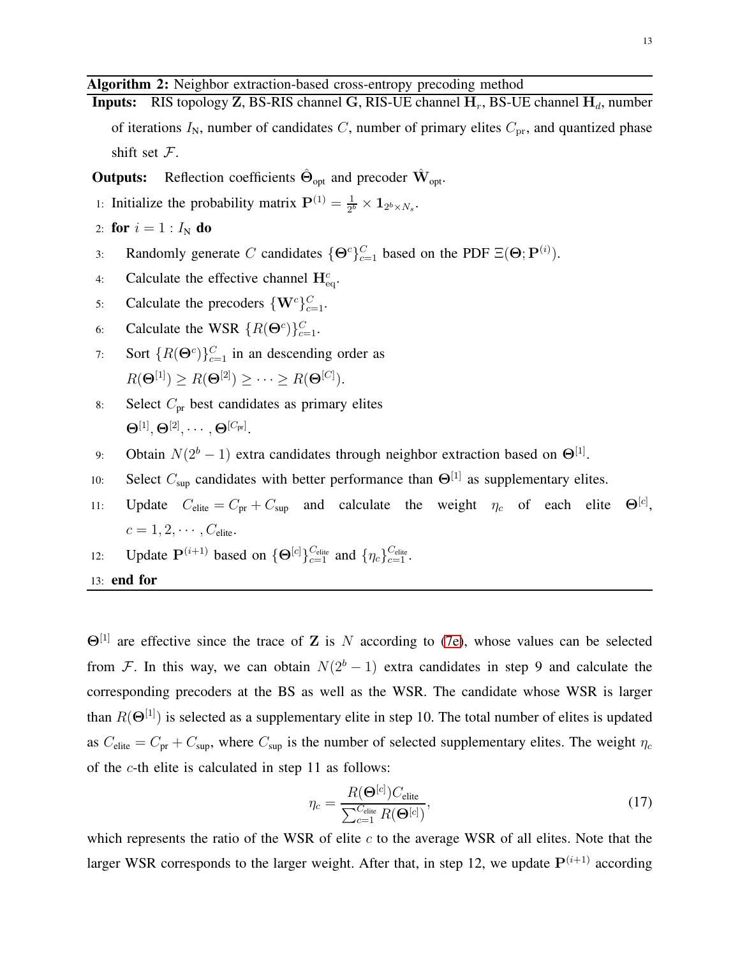13

# <span id="page-12-0"></span>Algorithm 2: Neighbor extraction-based cross-entropy precoding method

Inputs: RIS topology Z, BS-RIS channel G, RIS-UE channel  $H_r$ , BS-UE channel  $H_d$ , number of iterations  $I_N$ , number of candidates C, number of primary elites  $C_{pr}$ , and quantized phase shift set  $\mathcal{F}$ .

**Outputs:** Reflection coefficients  $\hat{\Theta}_{opt}$  and precoder  $\hat{W}_{opt}$ .

1: Initialize the probability matrix  $P^{(1)} = \frac{1}{2^l}$  $\frac{1}{2^b}\times {\bf 1}_{2^b\times N_s}.$ 

2: **for** 
$$
i = 1 : I_N
$$
 **do**

- 3: Randomly generate C candidates  $\{\Theta^c\}_{c=1}^C$  based on the PDF  $\Xi(\Theta; \mathbf{P}^{(i)})$ .
- 4: Calculate the effective channel  $\mathbf{H}_{\text{eq}}^c$ .
- 5: Calculate the precoders  $\{W^c\}_{c=1}^C$ .
- 6: Calculate the WSR  $\{R(\Theta^c)\}_{c=1}^C$ .
- 7: Sort  $\{R(\Theta^c)\}_{c=1}^C$  in an descending order as  $R(\mathbf{\Theta}^{[1]}) \ge R(\mathbf{\Theta}^{[2]}) \ge \cdots \ge R(\mathbf{\Theta}^{[C]}).$
- 8: Select  $C_{\text{pr}}$  best candidates as primary elites  $\mathbf{\Theta}^{[1]}, \mathbf{\Theta}^{[2]}, \cdots, \mathbf{\Theta}^{[C_{\text{pr}}]}.$
- 9: Obtain  $N(2^b 1)$  extra candidates through neighbor extraction based on  $\Theta^{[1]}$ .
- 10: Select  $C_{\text{sup}}$  candidates with better performance than  $\Theta^{[1]}$  as supplementary elites.
- 11: Update  $C_{\text{elite}} = C_{\text{pr}} + C_{\text{sup}}$  and calculate the weight  $\eta_c$  of each elite  $\Theta^{[c]}$ .  $c = 1, 2, \cdots, C_{\text{elite}}.$
- 12: Update  $\mathbf{P}^{(i+1)}$  based on  $\{\mathbf{\Theta}^{[c]}\}_{c=1}^{C_{\text{elite}}}$  and  $\{\eta_c\}_{c=1}^{C_{\text{elite}}}$ .
- 13: end for

 $\Theta^{[1]}$  are effective since the trace of Z is N according to [\(7e\)](#page-6-1), whose values can be selected from F. In this way, we can obtain  $N(2<sup>b</sup> - 1)$  extra candidates in step 9 and calculate the corresponding precoders at the BS as well as the WSR. The candidate whose WSR is larger than  $R(\Theta^{[1]})$  is selected as a supplementary elite in step 10. The total number of elites is updated as  $C_{\text{elite}} = C_{\text{pr}} + C_{\text{sup}}$ , where  $C_{\text{sup}}$  is the number of selected supplementary elites. The weight  $\eta_c$ of the c-th elite is calculated in step 11 as follows:

$$
\eta_c = \frac{R(\mathbf{\Theta}^{[c]}) C_{\text{elite}}}{\sum_{c=1}^{C_{\text{elite}}} R(\mathbf{\Theta}^{[c]})},\tag{17}
$$

which represents the ratio of the WSR of elite  $c$  to the average WSR of all elites. Note that the larger WSR corresponds to the larger weight. After that, in step 12, we update  $P^{(i+1)}$  according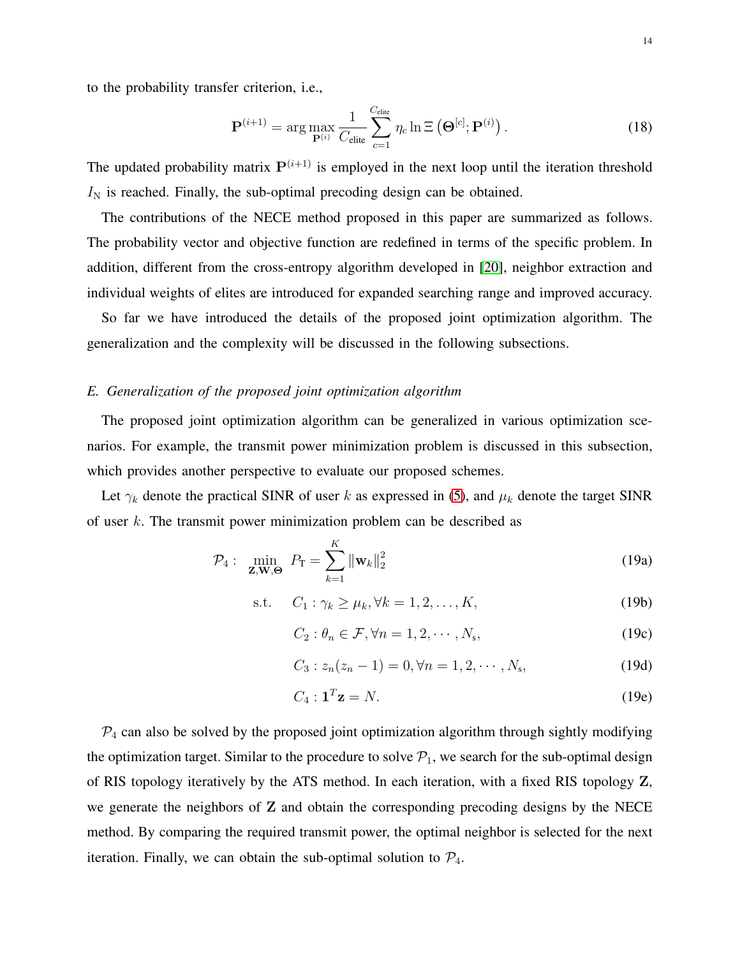to the probability transfer criterion, i.e.,

$$
\mathbf{P}^{(i+1)} = \arg \max_{\mathbf{P}^{(i)}} \frac{1}{C_{\text{elite}}} \sum_{c=1}^{C_{\text{elite}}} \eta_c \ln \Xi\left(\mathbf{\Theta}^{[c]}; \mathbf{P}^{(i)}\right).
$$
 (18)

The updated probability matrix  $P^{(i+1)}$  is employed in the next loop until the iteration threshold  $I<sub>N</sub>$  is reached. Finally, the sub-optimal precoding design can be obtained.

The contributions of the NECE method proposed in this paper are summarized as follows. The probability vector and objective function are redefined in terms of the specific problem. In addition, different from the cross-entropy algorithm developed in [\[20\]](#page-22-18), neighbor extraction and individual weights of elites are introduced for expanded searching range and improved accuracy.

So far we have introduced the details of the proposed joint optimization algorithm. The generalization and the complexity will be discussed in the following subsections.

#### <span id="page-13-0"></span>*E. Generalization of the proposed joint optimization algorithm*

The proposed joint optimization algorithm can be generalized in various optimization scenarios. For example, the transmit power minimization problem is discussed in this subsection, which provides another perspective to evaluate our proposed schemes.

Let  $\gamma_k$  denote the practical SINR of user k as expressed in [\(5\)](#page-5-0), and  $\mu_k$  denote the target SINR of user k. The transmit power minimization problem can be described as

$$
\mathcal{P}_4: \quad \min_{\mathbf{Z}, \mathbf{W}, \Theta} \quad \mathcal{P}_T = \sum_{k=1}^K \|\mathbf{w}_k\|_2^2 \tag{19a}
$$

$$
\text{s.t.} \quad C_1: \gamma_k \ge \mu_k, \forall k = 1, 2, \dots, K,\tag{19b}
$$

$$
C_2: \theta_n \in \mathcal{F}, \forall n = 1, 2, \cdots, N_s,
$$
\n(19c)

$$
C_3: z_n(z_n - 1) = 0, \forall n = 1, 2, \cdots, N_s,
$$
 (19d)

$$
C_4: \mathbf{1}^T \mathbf{z} = N. \tag{19e}
$$

 $P_4$  can also be solved by the proposed joint optimization algorithm through sightly modifying the optimization target. Similar to the procedure to solve  $P_1$ , we search for the sub-optimal design of RIS topology iteratively by the ATS method. In each iteration, with a fixed RIS topology Z, we generate the neighbors of Z and obtain the corresponding precoding designs by the NECE method. By comparing the required transmit power, the optimal neighbor is selected for the next iteration. Finally, we can obtain the sub-optimal solution to  $P_4$ .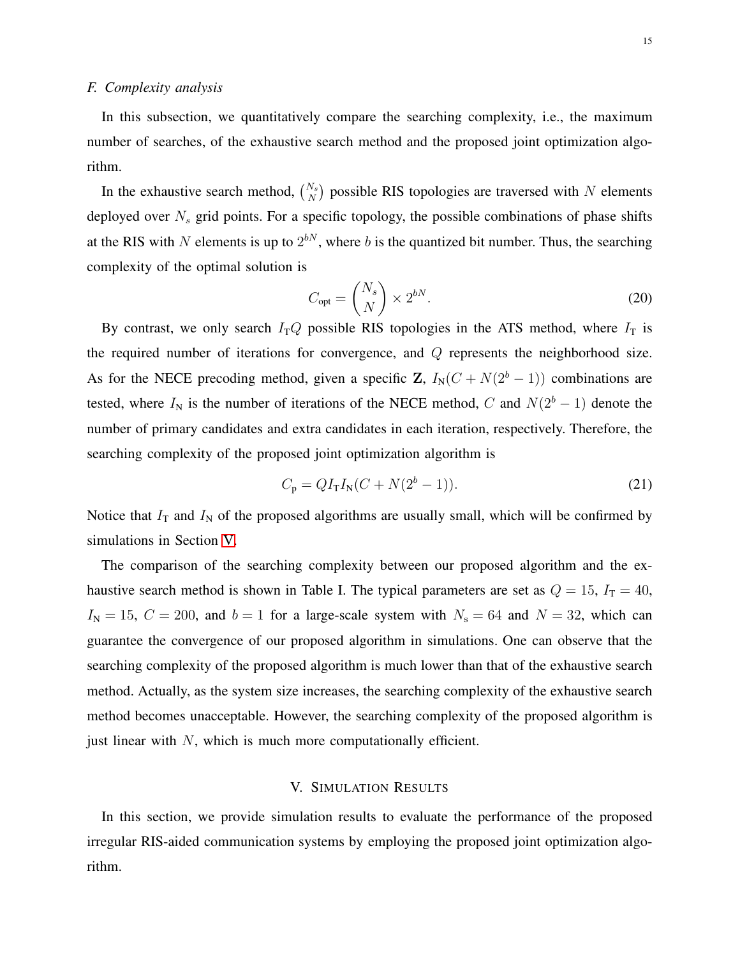#### <span id="page-14-0"></span>*F. Complexity analysis*

In this subsection, we quantitatively compare the searching complexity, i.e., the maximum number of searches, of the exhaustive search method and the proposed joint optimization algorithm.

In the exhaustive search method,  $\binom{N_s}{N}$  possible RIS topologies are traversed with N elements deployed over  $N<sub>s</sub>$  grid points. For a specific topology, the possible combinations of phase shifts at the RIS with N elements is up to  $2^{bN}$ , where b is the quantized bit number. Thus, the searching complexity of the optimal solution is

$$
C_{\rm opt} = \binom{N_s}{N} \times 2^{bN}.\tag{20}
$$

By contrast, we only search  $I_TQ$  possible RIS topologies in the ATS method, where  $I_T$  is the required number of iterations for convergence, and Q represents the neighborhood size. As for the NECE precoding method, given a specific Z,  $I_N(C + N(2^b - 1))$  combinations are tested, where  $I_N$  is the number of iterations of the NECE method, C and  $N(2^b - 1)$  denote the number of primary candidates and extra candidates in each iteration, respectively. Therefore, the searching complexity of the proposed joint optimization algorithm is

$$
C_{\rm p} = QI_{\rm T}I_{\rm N}(C + N(2^b - 1)).
$$
\n(21)

Notice that  $I_T$  and  $I_N$  of the proposed algorithms are usually small, which will be confirmed by simulations in Section [V.](#page-14-1)

The comparison of the searching complexity between our proposed algorithm and the exhaustive search method is shown in Table I. The typical parameters are set as  $Q = 15$ ,  $I_T = 40$ ,  $I_N = 15$ ,  $C = 200$ , and  $b = 1$  for a large-scale system with  $N_s = 64$  and  $N = 32$ , which can guarantee the convergence of our proposed algorithm in simulations. One can observe that the searching complexity of the proposed algorithm is much lower than that of the exhaustive search method. Actually, as the system size increases, the searching complexity of the exhaustive search method becomes unacceptable. However, the searching complexity of the proposed algorithm is just linear with  $N$ , which is much more computationally efficient.

## V. SIMULATION RESULTS

<span id="page-14-1"></span>In this section, we provide simulation results to evaluate the performance of the proposed irregular RIS-aided communication systems by employing the proposed joint optimization algorithm.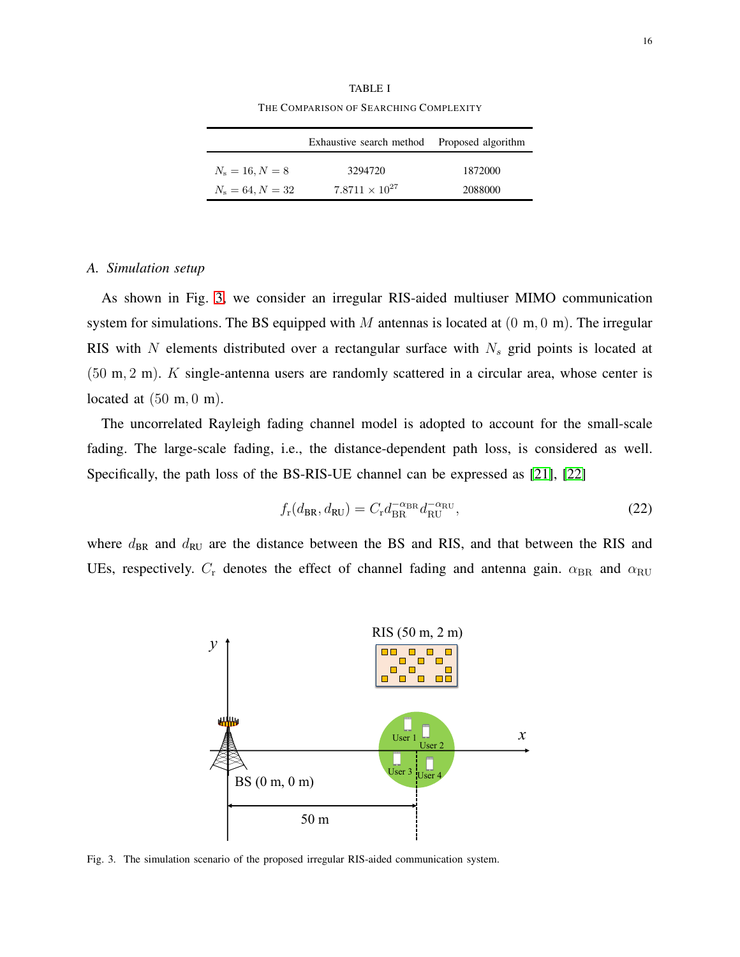|                    | Exhaustive search method | Proposed algorithm |
|--------------------|--------------------------|--------------------|
| $N_s = 16, N = 8$  | 3294720                  | 1872000            |
| $N_s = 64, N = 32$ | $7.8711 \times 10^{27}$  | 2088000            |

TABLE I THE COMPARISON OF SEARCHING COMPLEXITY

#### *A. Simulation setup*

As shown in Fig. [3,](#page-15-0) we consider an irregular RIS-aided multiuser MIMO communication system for simulations. The BS equipped with M antennas is located at  $(0 \text{ m}, 0 \text{ m})$ . The irregular RIS with  $N$  elements distributed over a rectangular surface with  $N<sub>s</sub>$  grid points is located at (50 m, 2 m). K single-antenna users are randomly scattered in a circular area, whose center is located at  $(50 \text{ m}, 0 \text{ m})$ .

The uncorrelated Rayleigh fading channel model is adopted to account for the small-scale fading. The large-scale fading, i.e., the distance-dependent path loss, is considered as well. Specifically, the path loss of the BS-RIS-UE channel can be expressed as [\[21\]](#page-23-0), [\[22\]](#page-23-1)

$$
f_{\rm r}(d_{\rm BR}, d_{\rm RU}) = C_{\rm r} d_{\rm BR}^{-\alpha_{\rm BR}} d_{\rm RU}^{-\alpha_{\rm RU}},\tag{22}
$$

where  $d_{BR}$  and  $d_{RU}$  are the distance between the BS and RIS, and that between the RIS and UEs, respectively.  $C_r$  denotes the effect of channel fading and antenna gain.  $\alpha_{BR}$  and  $\alpha_{RU}$ 



<span id="page-15-0"></span>Fig. 3. The simulation scenario of the proposed irregular RIS-aided communication system.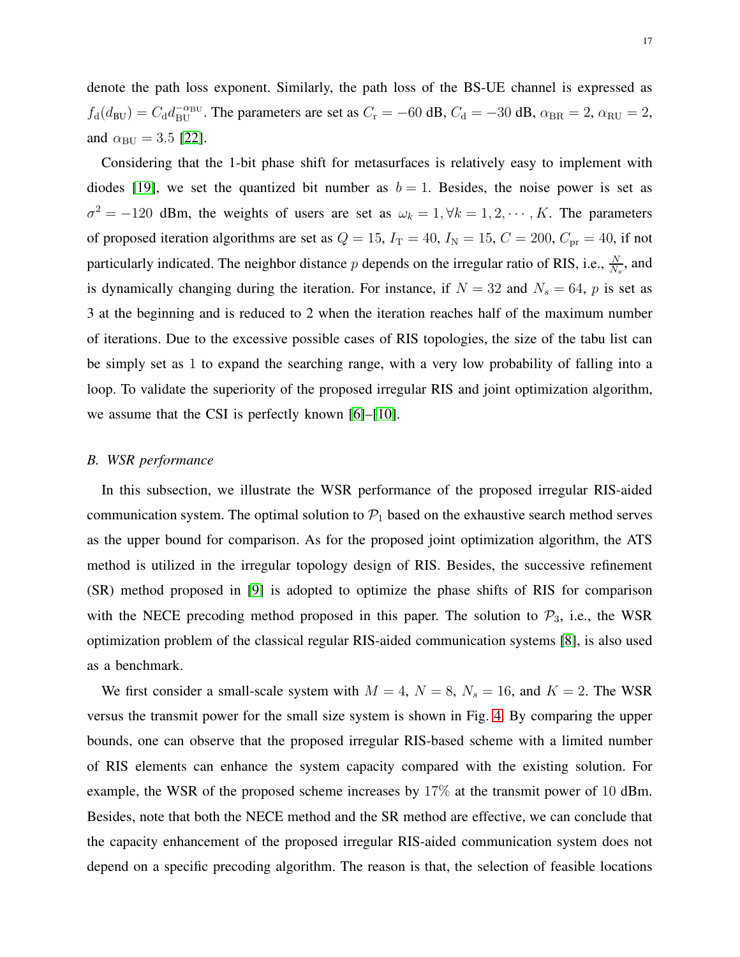denote the path loss exponent. Similarly, the path loss of the BS-UE channel is expressed as  $f_d(d_{BU}) = C_d d_{BU}^{-\alpha_{BU}}$ . The parameters are set as  $C_r = -60$  dB,  $C_d = -30$  dB,  $\alpha_{BR} = 2$ ,  $\alpha_{RU} = 2$ , and  $\alpha_{\text{BU}} = 3.5$  [\[22\]](#page-23-1).

Considering that the 1-bit phase shift for metasurfaces is relatively easy to implement with diodes [\[19\]](#page-22-17), we set the quantized bit number as  $b = 1$ . Besides, the noise power is set as  $\sigma^2 = -120$  dBm, the weights of users are set as  $\omega_k = 1, \forall k = 1, 2, \dots, K$ . The parameters of proposed iteration algorithms are set as  $Q = 15$ ,  $I_T = 40$ ,  $I_N = 15$ ,  $C = 200$ ,  $C_{pr} = 40$ , if not particularly indicated. The neighbor distance p depends on the irregular ratio of RIS, i.e.,  $\frac{N}{Ns}$ , and is dynamically changing during the iteration. For instance, if  $N = 32$  and  $N_s = 64$ , p is set as 3 at the beginning and is reduced to 2 when the iteration reaches half of the maximum number of iterations. Due to the excessive possible cases of RIS topologies, the size of the tabu list can be simply set as 1 to expand the searching range, with a very low probability of falling into a loop. To validate the superiority of the proposed irregular RIS and joint optimization algorithm, we assume that the CSI is perfectly known [\[6\]](#page-22-4)–[\[10\]](#page-22-5).

#### *B. WSR performance*

In this subsection, we illustrate the WSR performance of the proposed irregular RIS-aided communication system. The optimal solution to  $P_1$  based on the exhaustive search method serves as the upper bound for comparison. As for the proposed joint optimization algorithm, the ATS method is utilized in the irregular topology design of RIS. Besides, the successive refinement (SR) method proposed in [\[9\]](#page-22-11) is adopted to optimize the phase shifts of RIS for comparison with the NECE precoding method proposed in this paper. The solution to  $P_3$ , i.e., the WSR optimization problem of the classical regular RIS-aided communication systems [\[8\]](#page-22-10), is also used as a benchmark.

We first consider a small-scale system with  $M = 4$ ,  $N = 8$ ,  $N_s = 16$ , and  $K = 2$ . The WSR versus the transmit power for the small size system is shown in Fig. [4.](#page-17-0) By comparing the upper bounds, one can observe that the proposed irregular RIS-based scheme with a limited number of RIS elements can enhance the system capacity compared with the existing solution. For example, the WSR of the proposed scheme increases by 17% at the transmit power of 10 dBm. Besides, note that both the NECE method and the SR method are effective, we can conclude that the capacity enhancement of the proposed irregular RIS-aided communication system does not depend on a specific precoding algorithm. The reason is that, the selection of feasible locations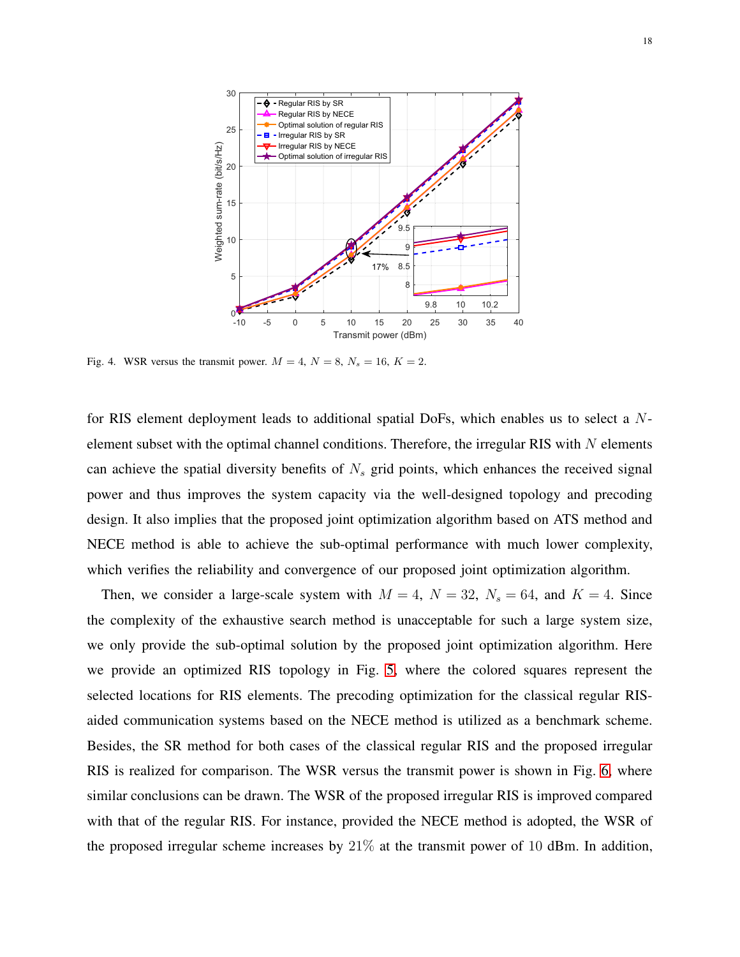

<span id="page-17-0"></span>Fig. 4. WSR versus the transmit power.  $M = 4$ ,  $N = 8$ ,  $N_s = 16$ ,  $K = 2$ .

for RIS element deployment leads to additional spatial DoFs, which enables us to select a Nelement subset with the optimal channel conditions. Therefore, the irregular RIS with  $N$  elements can achieve the spatial diversity benefits of  $N<sub>s</sub>$  grid points, which enhances the received signal power and thus improves the system capacity via the well-designed topology and precoding design. It also implies that the proposed joint optimization algorithm based on ATS method and NECE method is able to achieve the sub-optimal performance with much lower complexity, which verifies the reliability and convergence of our proposed joint optimization algorithm.

Then, we consider a large-scale system with  $M = 4$ ,  $N = 32$ ,  $N_s = 64$ , and  $K = 4$ . Since the complexity of the exhaustive search method is unacceptable for such a large system size, we only provide the sub-optimal solution by the proposed joint optimization algorithm. Here we provide an optimized RIS topology in Fig. [5,](#page-18-0) where the colored squares represent the selected locations for RIS elements. The precoding optimization for the classical regular RISaided communication systems based on the NECE method is utilized as a benchmark scheme. Besides, the SR method for both cases of the classical regular RIS and the proposed irregular RIS is realized for comparison. The WSR versus the transmit power is shown in Fig. [6,](#page-18-1) where similar conclusions can be drawn. The WSR of the proposed irregular RIS is improved compared with that of the regular RIS. For instance, provided the NECE method is adopted, the WSR of the proposed irregular scheme increases by  $21\%$  at the transmit power of 10 dBm. In addition,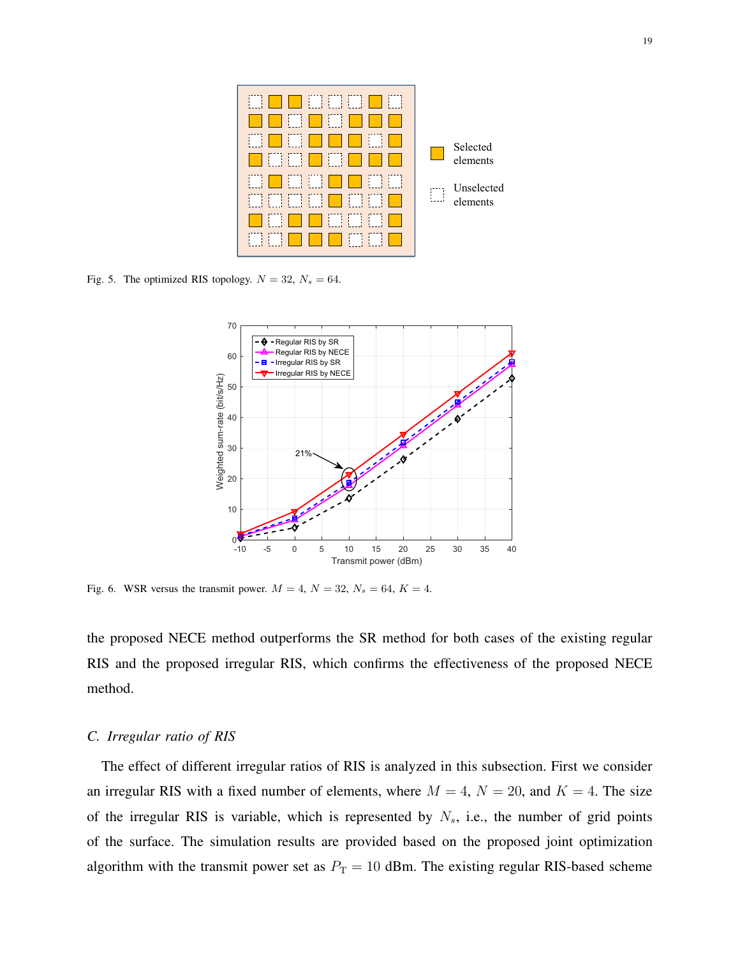

<span id="page-18-0"></span>Fig. 5. The optimized RIS topology.  $N = 32$ ,  $N_s = 64$ .



<span id="page-18-1"></span>Fig. 6. WSR versus the transmit power.  $M = 4$ ,  $N = 32$ ,  $N_s = 64$ ,  $K = 4$ .

the proposed NECE method outperforms the SR method for both cases of the existing regular RIS and the proposed irregular RIS, which confirms the effectiveness of the proposed NECE method.

## *C. Irregular ratio of RIS*

The effect of different irregular ratios of RIS is analyzed in this subsection. First we consider an irregular RIS with a fixed number of elements, where  $M = 4$ ,  $N = 20$ , and  $K = 4$ . The size of the irregular RIS is variable, which is represented by  $N_s$ , i.e., the number of grid points of the surface. The simulation results are provided based on the proposed joint optimization algorithm with the transmit power set as  $P_T = 10$  dBm. The existing regular RIS-based scheme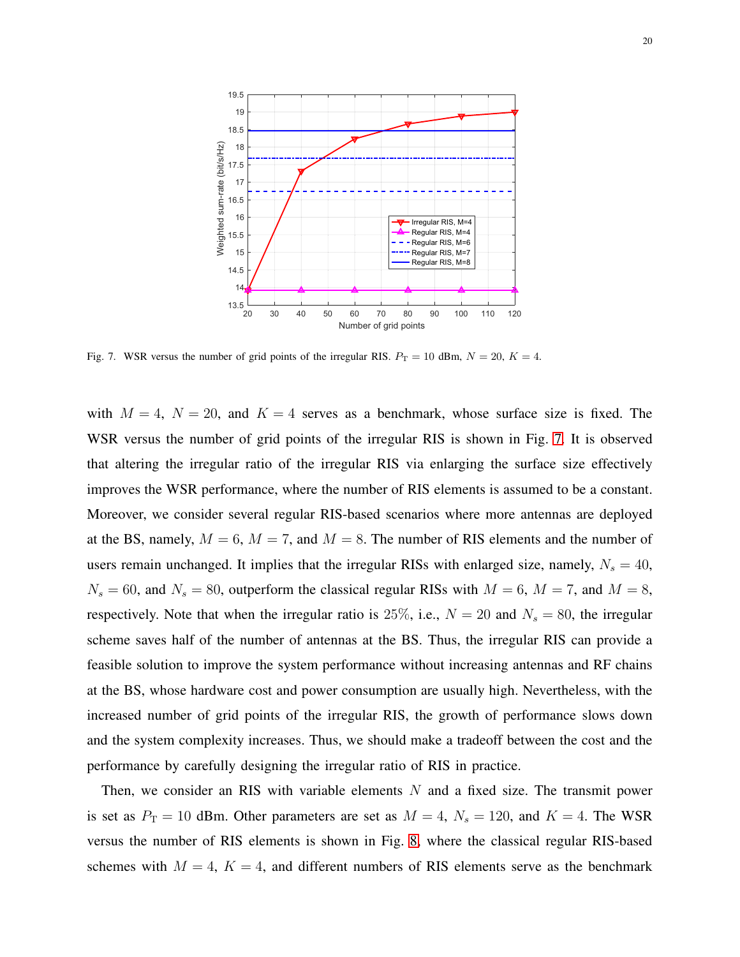

<span id="page-19-0"></span>Fig. 7. WSR versus the number of grid points of the irregular RIS.  $P_T = 10$  dBm,  $N = 20$ ,  $K = 4$ .

with  $M = 4$ ,  $N = 20$ , and  $K = 4$  serves as a benchmark, whose surface size is fixed. The WSR versus the number of grid points of the irregular RIS is shown in Fig. [7.](#page-19-0) It is observed that altering the irregular ratio of the irregular RIS via enlarging the surface size effectively improves the WSR performance, where the number of RIS elements is assumed to be a constant. Moreover, we consider several regular RIS-based scenarios where more antennas are deployed at the BS, namely,  $M = 6$ ,  $M = 7$ , and  $M = 8$ . The number of RIS elements and the number of users remain unchanged. It implies that the irregular RISs with enlarged size, namely,  $N_s = 40$ ,  $N_s = 60$ , and  $N_s = 80$ , outperform the classical regular RISs with  $M = 6$ ,  $M = 7$ , and  $M = 8$ , respectively. Note that when the irregular ratio is 25%, i.e.,  $N = 20$  and  $N_s = 80$ , the irregular scheme saves half of the number of antennas at the BS. Thus, the irregular RIS can provide a feasible solution to improve the system performance without increasing antennas and RF chains at the BS, whose hardware cost and power consumption are usually high. Nevertheless, with the increased number of grid points of the irregular RIS, the growth of performance slows down and the system complexity increases. Thus, we should make a tradeoff between the cost and the performance by carefully designing the irregular ratio of RIS in practice.

Then, we consider an RIS with variable elements  $N$  and a fixed size. The transmit power is set as  $P_T = 10$  dBm. Other parameters are set as  $M = 4$ ,  $N_s = 120$ , and  $K = 4$ . The WSR versus the number of RIS elements is shown in Fig. [8,](#page-20-0) where the classical regular RIS-based schemes with  $M = 4$ ,  $K = 4$ , and different numbers of RIS elements serve as the benchmark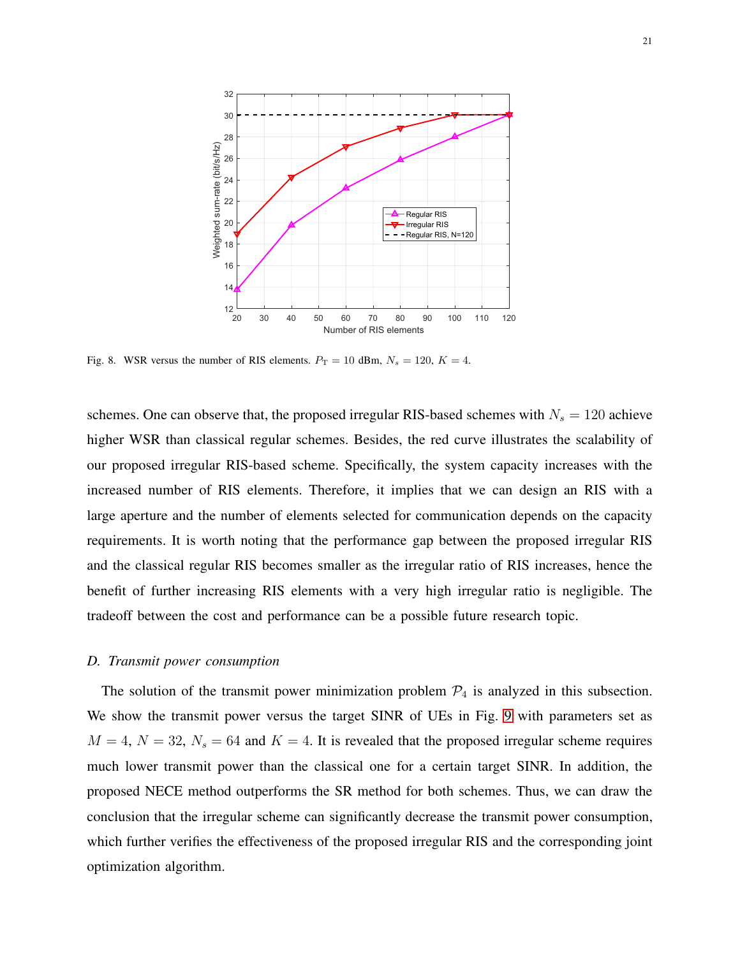

<span id="page-20-0"></span>Fig. 8. WSR versus the number of RIS elements.  $P_T = 10$  dBm,  $N_s = 120$ ,  $K = 4$ .

schemes. One can observe that, the proposed irregular RIS-based schemes with  $N_s = 120$  achieve higher WSR than classical regular schemes. Besides, the red curve illustrates the scalability of our proposed irregular RIS-based scheme. Specifically, the system capacity increases with the increased number of RIS elements. Therefore, it implies that we can design an RIS with a large aperture and the number of elements selected for communication depends on the capacity requirements. It is worth noting that the performance gap between the proposed irregular RIS and the classical regular RIS becomes smaller as the irregular ratio of RIS increases, hence the benefit of further increasing RIS elements with a very high irregular ratio is negligible. The tradeoff between the cost and performance can be a possible future research topic.

#### *D. Transmit power consumption*

The solution of the transmit power minimization problem  $P_4$  is analyzed in this subsection. We show the transmit power versus the target SINR of UEs in Fig. [9](#page-21-1) with parameters set as  $M = 4$ ,  $N = 32$ ,  $N_s = 64$  and  $K = 4$ . It is revealed that the proposed irregular scheme requires much lower transmit power than the classical one for a certain target SINR. In addition, the proposed NECE method outperforms the SR method for both schemes. Thus, we can draw the conclusion that the irregular scheme can significantly decrease the transmit power consumption, which further verifies the effectiveness of the proposed irregular RIS and the corresponding joint optimization algorithm.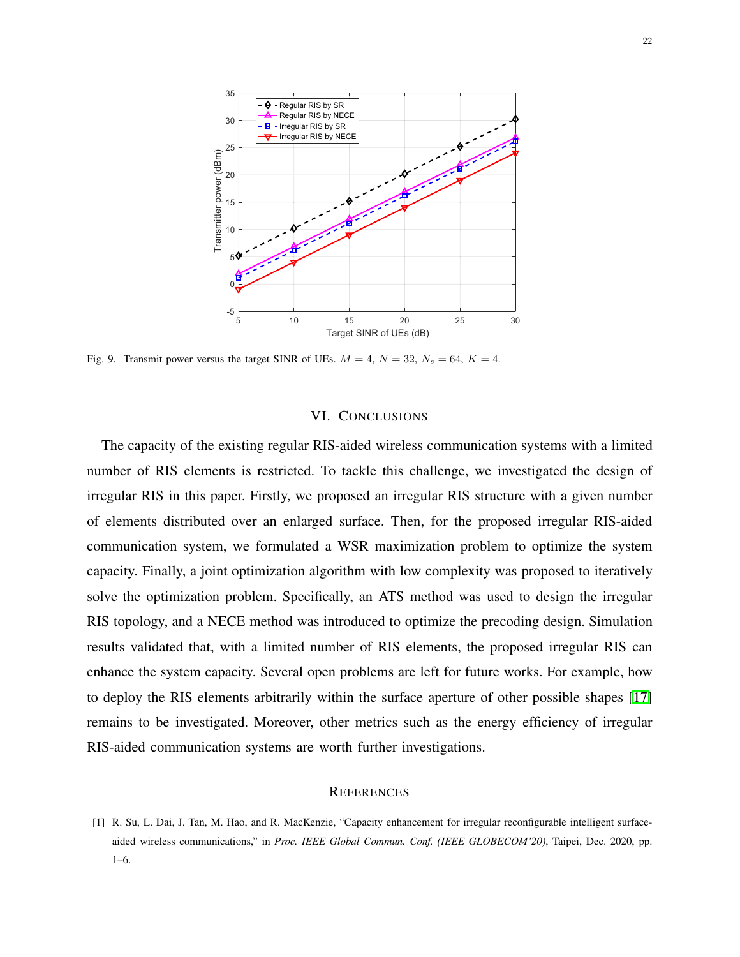

<span id="page-21-1"></span>Fig. 9. Transmit power versus the target SINR of UEs.  $M = 4$ ,  $N = 32$ ,  $N_s = 64$ ,  $K = 4$ .

#### VI. CONCLUSIONS

The capacity of the existing regular RIS-aided wireless communication systems with a limited number of RIS elements is restricted. To tackle this challenge, we investigated the design of irregular RIS in this paper. Firstly, we proposed an irregular RIS structure with a given number of elements distributed over an enlarged surface. Then, for the proposed irregular RIS-aided communication system, we formulated a WSR maximization problem to optimize the system capacity. Finally, a joint optimization algorithm with low complexity was proposed to iteratively solve the optimization problem. Specifically, an ATS method was used to design the irregular RIS topology, and a NECE method was introduced to optimize the precoding design. Simulation results validated that, with a limited number of RIS elements, the proposed irregular RIS can enhance the system capacity. Several open problems are left for future works. For example, how to deploy the RIS elements arbitrarily within the surface aperture of other possible shapes [\[17\]](#page-22-15) remains to be investigated. Moreover, other metrics such as the energy efficiency of irregular RIS-aided communication systems are worth further investigations.

#### **REFERENCES**

<span id="page-21-0"></span><sup>[1]</sup> R. Su, L. Dai, J. Tan, M. Hao, and R. MacKenzie, "Capacity enhancement for irregular reconfigurable intelligent surfaceaided wireless communications," in *Proc. IEEE Global Commun. Conf. (IEEE GLOBECOM'20)*, Taipei, Dec. 2020, pp. 1–6.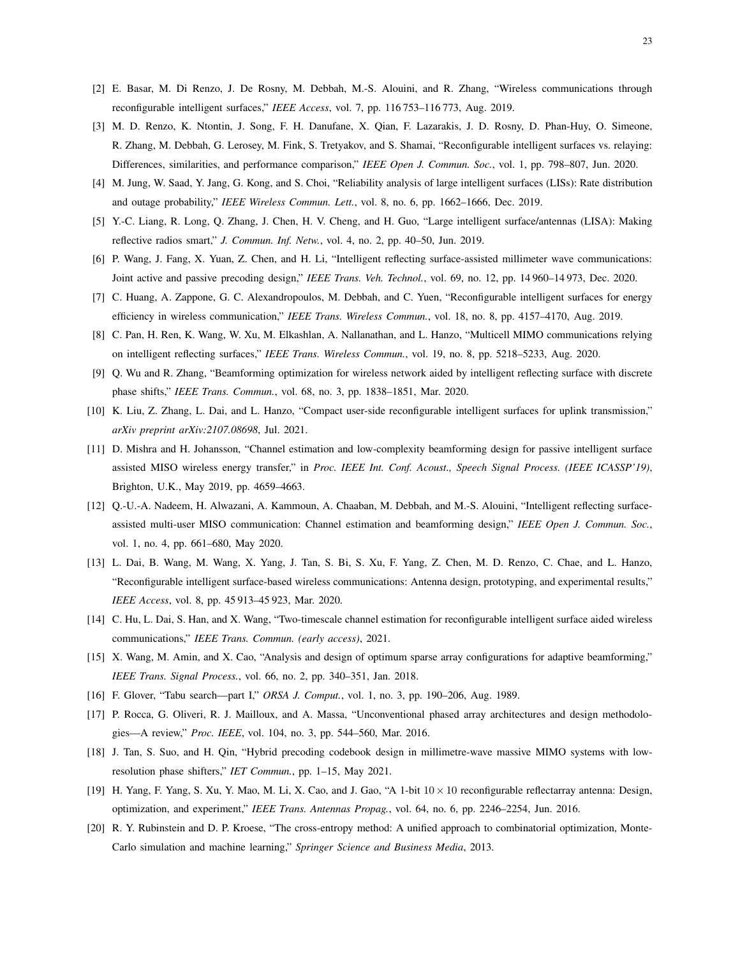- <span id="page-22-1"></span><span id="page-22-0"></span>[2] E. Basar, M. Di Renzo, J. De Rosny, M. Debbah, M.-S. Alouini, and R. Zhang, "Wireless communications through reconfigurable intelligent surfaces," *IEEE Access*, vol. 7, pp. 116 753–116 773, Aug. 2019.
- [3] M. D. Renzo, K. Ntontin, J. Song, F. H. Danufane, X. Qian, F. Lazarakis, J. D. Rosny, D. Phan-Huy, O. Simeone, R. Zhang, M. Debbah, G. Lerosey, M. Fink, S. Tretyakov, and S. Shamai, "Reconfigurable intelligent surfaces vs. relaying: Differences, similarities, and performance comparison," *IEEE Open J. Commun. Soc.*, vol. 1, pp. 798–807, Jun. 2020.
- <span id="page-22-3"></span><span id="page-22-2"></span>[4] M. Jung, W. Saad, Y. Jang, G. Kong, and S. Choi, "Reliability analysis of large intelligent surfaces (LISs): Rate distribution and outage probability," *IEEE Wireless Commun. Lett.*, vol. 8, no. 6, pp. 1662–1666, Dec. 2019.
- <span id="page-22-4"></span>[5] Y.-C. Liang, R. Long, Q. Zhang, J. Chen, H. V. Cheng, and H. Guo, "Large intelligent surface/antennas (LISA): Making reflective radios smart," *J. Commun. Inf. Netw.*, vol. 4, no. 2, pp. 40–50, Jun. 2019.
- <span id="page-22-9"></span>[6] P. Wang, J. Fang, X. Yuan, Z. Chen, and H. Li, "Intelligent reflecting surface-assisted millimeter wave communications: Joint active and passive precoding design," *IEEE Trans. Veh. Technol.*, vol. 69, no. 12, pp. 14 960–14 973, Dec. 2020.
- <span id="page-22-10"></span>[7] C. Huang, A. Zappone, G. C. Alexandropoulos, M. Debbah, and C. Yuen, "Reconfigurable intelligent surfaces for energy efficiency in wireless communication," *IEEE Trans. Wireless Commun.*, vol. 18, no. 8, pp. 4157–4170, Aug. 2019.
- <span id="page-22-11"></span>[8] C. Pan, H. Ren, K. Wang, W. Xu, M. Elkashlan, A. Nallanathan, and L. Hanzo, "Multicell MIMO communications relying on intelligent reflecting surfaces," *IEEE Trans. Wireless Commun.*, vol. 19, no. 8, pp. 5218–5233, Aug. 2020.
- <span id="page-22-5"></span>[9] Q. Wu and R. Zhang, "Beamforming optimization for wireless network aided by intelligent reflecting surface with discrete phase shifts," *IEEE Trans. Commun.*, vol. 68, no. 3, pp. 1838–1851, Mar. 2020.
- <span id="page-22-6"></span>[10] K. Liu, Z. Zhang, L. Dai, and L. Hanzo, "Compact user-side reconfigurable intelligent surfaces for uplink transmission," *arXiv preprint arXiv:2107.08698*, Jul. 2021.
- [11] D. Mishra and H. Johansson, "Channel estimation and low-complexity beamforming design for passive intelligent surface assisted MISO wireless energy transfer," in *Proc. IEEE Int. Conf. Acoust., Speech Signal Process. (IEEE ICASSP'19)*, Brighton, U.K., May 2019, pp. 4659–4663.
- <span id="page-22-7"></span>[12] Q.-U.-A. Nadeem, H. Alwazani, A. Kammoun, A. Chaaban, M. Debbah, and M.-S. Alouini, "Intelligent reflecting surfaceassisted multi-user MISO communication: Channel estimation and beamforming design," *IEEE Open J. Commun. Soc.*, vol. 1, no. 4, pp. 661–680, May 2020.
- <span id="page-22-8"></span>[13] L. Dai, B. Wang, M. Wang, X. Yang, J. Tan, S. Bi, S. Xu, F. Yang, Z. Chen, M. D. Renzo, C. Chae, and L. Hanzo, "Reconfigurable intelligent surface-based wireless communications: Antenna design, prototyping, and experimental results," *IEEE Access*, vol. 8, pp. 45 913–45 923, Mar. 2020.
- <span id="page-22-13"></span><span id="page-22-12"></span>[14] C. Hu, L. Dai, S. Han, and X. Wang, "Two-timescale channel estimation for reconfigurable intelligent surface aided wireless communications," *IEEE Trans. Commun. (early access)*, 2021.
- <span id="page-22-14"></span>[15] X. Wang, M. Amin, and X. Cao, "Analysis and design of optimum sparse array configurations for adaptive beamforming," *IEEE Trans. Signal Process.*, vol. 66, no. 2, pp. 340–351, Jan. 2018.
- <span id="page-22-15"></span>[16] F. Glover, "Tabu search—part I," *ORSA J. Comput.*, vol. 1, no. 3, pp. 190–206, Aug. 1989.
- <span id="page-22-16"></span>[17] P. Rocca, G. Oliveri, R. J. Mailloux, and A. Massa, "Unconventional phased array architectures and design methodologies—A review," *Proc. IEEE*, vol. 104, no. 3, pp. 544–560, Mar. 2016.
- <span id="page-22-17"></span>[18] J. Tan, S. Suo, and H. Qin, "Hybrid precoding codebook design in millimetre-wave massive MIMO systems with lowresolution phase shifters," *IET Commun.*, pp. 1–15, May 2021.
- <span id="page-22-18"></span>[19] H. Yang, F. Yang, S. Xu, Y. Mao, M. Li, X. Cao, and J. Gao, "A 1-bit  $10 \times 10$  reconfigurable reflectarray antenna: Design, optimization, and experiment," *IEEE Trans. Antennas Propag.*, vol. 64, no. 6, pp. 2246–2254, Jun. 2016.
- [20] R. Y. Rubinstein and D. P. Kroese, "The cross-entropy method: A unified approach to combinatorial optimization, Monte-Carlo simulation and machine learning," *Springer Science and Business Media*, 2013.